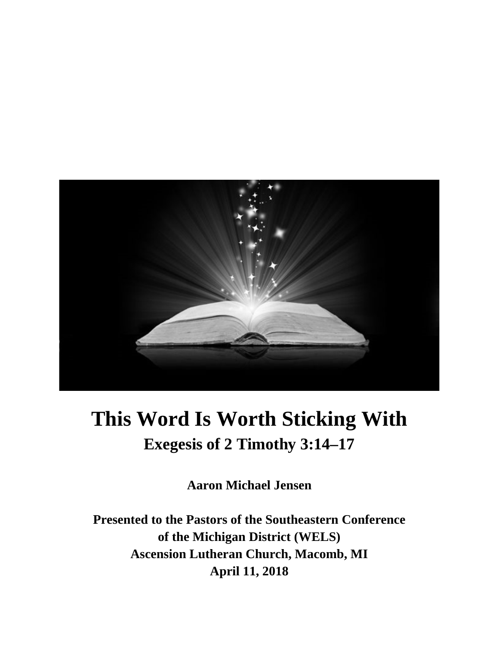

# **This Word Is Worth Sticking With Exegesis of 2 Timothy 3:14–17**

**Aaron Michael Jensen**

**Presented to the Pastors of the Southeastern Conference of the Michigan District (WELS) Ascension Lutheran Church, Macomb, MI April 11, 2018**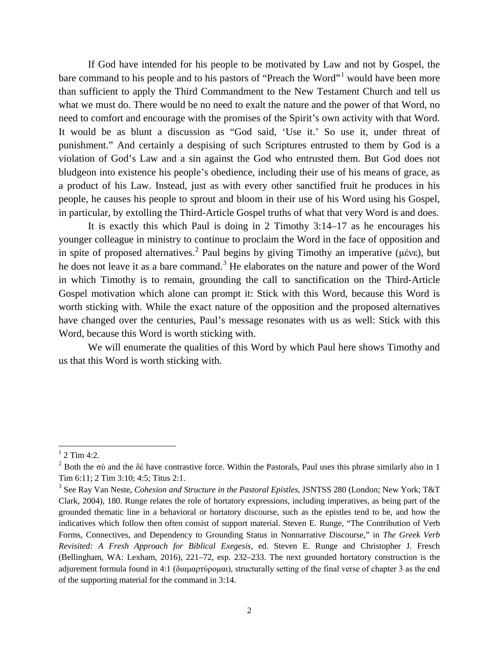If God have intended for his people to be motivated by Law and not by Gospel, the bare command to his people and to his pastors of "Preach the Word"<sup>[1](#page-1-0)</sup> would have been more than sufficient to apply the Third Commandment to the New Testament Church and tell us what we must do. There would be no need to exalt the nature and the power of that Word, no need to comfort and encourage with the promises of the Spirit's own activity with that Word. It would be as blunt a discussion as "God said, 'Use it.' So use it, under threat of punishment." And certainly a despising of such Scriptures entrusted to them by God is a violation of God's Law and a sin against the God who entrusted them. But God does not bludgeon into existence his people's obedience, including their use of his means of grace, as a product of his Law. Instead, just as with every other sanctified fruit he produces in his people, he causes his people to sprout and bloom in their use of his Word using his Gospel, in particular, by extolling the Third-Article Gospel truths of what that very Word is and does.

It is exactly this which Paul is doing in 2 Timothy 3:14–17 as he encourages his younger colleague in ministry to continue to proclaim the Word in the face of opposition and in spite of proposed alternatives.<sup>[2](#page-1-1)</sup> Paul begins by giving Timothy an imperative (μένε), but he does not leave it as a bare command.<sup>[3](#page-1-2)</sup> He elaborates on the nature and power of the Word in which Timothy is to remain, grounding the call to sanctification on the Third-Article Gospel motivation which alone can prompt it: Stick with this Word, because this Word is worth sticking with. While the exact nature of the opposition and the proposed alternatives have changed over the centuries, Paul's message resonates with us as well: Stick with this Word, because this Word is worth sticking with.

We will enumerate the qualities of this Word by which Paul here shows Timothy and us that this Word is worth sticking with.

<span id="page-1-0"></span> $1$  2 Tim 4:2.

<span id="page-1-1"></span><sup>&</sup>lt;sup>2</sup> Both the σύ and the δέ have contrastive force. Within the Pastorals, Paul uses this phrase similarly also in 1 Tim 6:11; 2 Tim 3:10; 4:5; Titus 2:1.

<span id="page-1-2"></span><sup>3</sup> See Ray Van Neste, *Cohesion and Structure in the Pastoral Epistles*, JSNTSS 280 (London; New York; T&T Clark, 2004), 180. Runge relates the role of hortatory expressions, including imperatives, as being part of the grounded thematic line in a behavioral or hortatory discourse, such as the epistles tend to be, and how the indicatives which follow then often consist of support material. Steven E. Runge, "The Contribution of Verb Forms, Connectives, and Dependency to Grounding Status in Nonnarrative Discourse," in *The Greek Verb Revisited: A Fresh Approach for Biblical Exegesis*, ed. Steven E. Runge and Christopher J. Fresch (Bellingham, WA: Lexham, 2016), 221–72, esp. 232–233. The next grounded hortatory construction is the adjurement formula found in 4:1 (διαμαρτύρομαι), structurally setting of the final verse of chapter 3 as the end of the supporting material for the command in 3:14.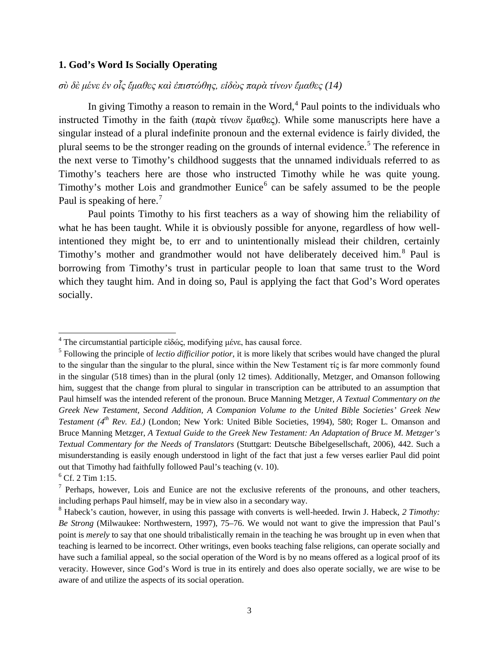#### **1. God's Word Is Socially Operating**

*σὺ δὲ μένε ἐν οἷς ἔμαθες καὶ ἐπιστώθης, εἰδὼς παρὰ τίνων ἔμαθες (14)*

In giving Timothy a reason to remain in the Word, $4$  Paul points to the individuals who instructed Timothy in the faith (παρὰ τίνων ἔμαθες). While some manuscripts here have a singular instead of a plural indefinite pronoun and the external evidence is fairly divided, the plural seems to be the stronger reading on the grounds of internal evidence.<sup>[5](#page-2-1)</sup> The reference in the next verse to Timothy's childhood suggests that the unnamed individuals referred to as Timothy's teachers here are those who instructed Timothy while he was quite young. Timothy's mother Lois and grandmother Eunice<sup> $6$ </sup> can be safely assumed to be the people Paul is speaking of here.<sup>[7](#page-2-3)</sup>

Paul points Timothy to his first teachers as a way of showing him the reliability of what he has been taught. While it is obviously possible for anyone, regardless of how wellintentioned they might be, to err and to unintentionally mislead their children, certainly Timothy's mother and grandmother would not have deliberately deceived him.<sup>[8](#page-2-4)</sup> Paul is borrowing from Timothy's trust in particular people to loan that same trust to the Word which they taught him. And in doing so, Paul is applying the fact that God's Word operates socially.

<span id="page-2-0"></span><sup>&</sup>lt;sup>4</sup> The circumstantial participle εἰδώς, modifying μένε, has causal force.

<span id="page-2-1"></span><sup>5</sup> Following the principle of *lectio difficilior potior*, it is more likely that scribes would have changed the plural to the singular than the singular to the plural, since within the New Testament  $\tau$  is far more commonly found in the singular (518 times) than in the plural (only 12 times). Additionally, Metzger, and Omanson following him, suggest that the change from plural to singular in transcription can be attributed to an assumption that Paul himself was the intended referent of the pronoun. Bruce Manning Metzger, *A Textual Commentary on the Greek New Testament, Second Addition, A Companion Volume to the United Bible Societies' Greek New Testament (4<sup>th</sup> Rev. Ed.)* (London; New York: United Bible Societies, 1994), 580; Roger L. Omanson and Bruce Manning Metzger, *A Textual Guide to the Greek New Testament: An Adaptation of Bruce M. Metzger's Textual Commentary for the Needs of Translators* (Stuttgart: Deutsche Bibelgesellschaft, 2006), 442. Such a misunderstanding is easily enough understood in light of the fact that just a few verses earlier Paul did point out that Timothy had faithfully followed Paul's teaching (v. 10).

<span id="page-2-2"></span> $<sup>6</sup>$  Cf. 2 Tim 1:15.</sup>

<span id="page-2-3"></span> $<sup>7</sup>$  Perhaps, however, Lois and Eunice are not the exclusive referents of the pronouns, and other teachers,</sup> including perhaps Paul himself, may be in view also in a secondary way.

<span id="page-2-4"></span><sup>8</sup> Habeck's caution, however, in using this passage with converts is well-heeded. Irwin J. Habeck, *2 Timothy: Be Strong* (Milwaukee: Northwestern, 1997), 75–76. We would not want to give the impression that Paul's point is *merely* to say that one should tribalistically remain in the teaching he was brought up in even when that teaching is learned to be incorrect. Other writings, even books teaching false religions, can operate socially and have such a familial appeal, so the social operation of the Word is by no means offered as a logical proof of its veracity. However, since God's Word is true in its entirely and does also operate socially, we are wise to be aware of and utilize the aspects of its social operation.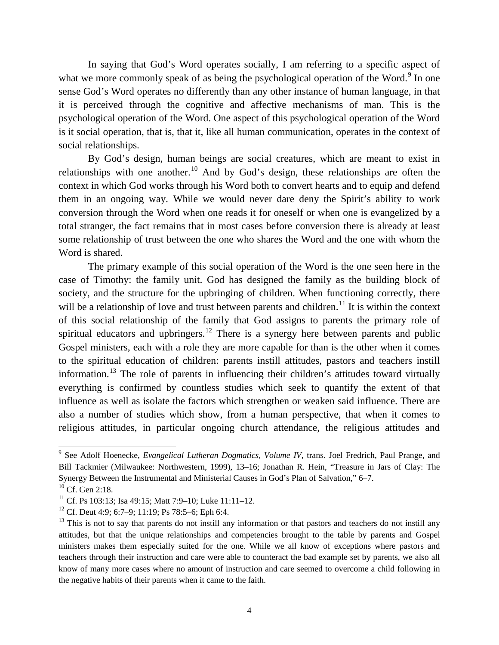In saying that God's Word operates socially, I am referring to a specific aspect of what we more commonly speak of as being the psychological operation of the Word.<sup>[9](#page-3-0)</sup> In one sense God's Word operates no differently than any other instance of human language, in that it is perceived through the cognitive and affective mechanisms of man. This is the psychological operation of the Word. One aspect of this psychological operation of the Word is it social operation, that is, that it, like all human communication, operates in the context of social relationships.

By God's design, human beings are social creatures, which are meant to exist in relationships with one another.<sup>[10](#page-3-1)</sup> And by God's design, these relationships are often the context in which God works through his Word both to convert hearts and to equip and defend them in an ongoing way. While we would never dare deny the Spirit's ability to work conversion through the Word when one reads it for oneself or when one is evangelized by a total stranger, the fact remains that in most cases before conversion there is already at least some relationship of trust between the one who shares the Word and the one with whom the Word is shared.

The primary example of this social operation of the Word is the one seen here in the case of Timothy: the family unit. God has designed the family as the building block of society, and the structure for the upbringing of children. When functioning correctly, there will be a relationship of love and trust between parents and children.<sup>[11](#page-3-2)</sup> It is within the context of this social relationship of the family that God assigns to parents the primary role of spiritual educators and upbringers.<sup>[12](#page-3-3)</sup> There is a synergy here between parents and public Gospel ministers, each with a role they are more capable for than is the other when it comes to the spiritual education of children: parents instill attitudes, pastors and teachers instill information.<sup>[13](#page-3-4)</sup> The role of parents in influencing their children's attitudes toward virtually everything is confirmed by countless studies which seek to quantify the extent of that influence as well as isolate the factors which strengthen or weaken said influence. There are also a number of studies which show, from a human perspective, that when it comes to religious attitudes, in particular ongoing church attendance, the religious attitudes and

<span id="page-3-0"></span><sup>9</sup> See Adolf Hoenecke, *Evangelical Lutheran Dogmatics, Volume IV*, trans. Joel Fredrich, Paul Prange, and Bill Tackmier (Milwaukee: Northwestern, 1999), 13–16; Jonathan R. Hein, "Treasure in Jars of Clay: The Synergy Between the Instrumental and Ministerial Causes in God's Plan of Salvation," 6–7.

<span id="page-3-1"></span><sup>&</sup>lt;sup>10</sup> Cf. Gen 2:18.

<span id="page-3-2"></span><sup>&</sup>lt;sup>11</sup> Cf. Ps 103:13; Isa 49:15; Matt 7:9–10; Luke 11:11–12.

<span id="page-3-3"></span><sup>&</sup>lt;sup>12</sup> Cf. Deut 4:9; 6:7–9; 11:19; Ps 78:5–6; Eph 6:4.

<span id="page-3-4"></span> $13$  This is not to say that parents do not instill any information or that pastors and teachers do not instill any attitudes, but that the unique relationships and competencies brought to the table by parents and Gospel ministers makes them especially suited for the one. While we all know of exceptions where pastors and teachers through their instruction and care were able to counteract the bad example set by parents, we also all know of many more cases where no amount of instruction and care seemed to overcome a child following in the negative habits of their parents when it came to the faith.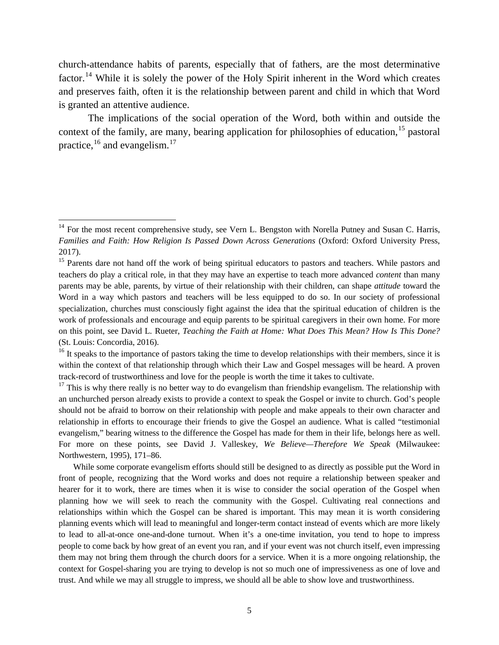church-attendance habits of parents, especially that of fathers, are the most determinative factor.<sup>[14](#page-4-0)</sup> While it is solely the power of the Holy Spirit inherent in the Word which creates and preserves faith, often it is the relationship between parent and child in which that Word is granted an attentive audience.

The implications of the social operation of the Word, both within and outside the context of the family, are many, bearing application for philosophies of education,  $15$  pastoral practice, <sup>[16](#page-4-2)</sup> and evangelism.<sup>[17](#page-4-3)</sup>

<span id="page-4-0"></span><sup>&</sup>lt;sup>14</sup> For the most recent comprehensive study, see Vern L. Bengston with Norella Putney and Susan C. Harris, *Families and Faith: How Religion Is Passed Down Across Generations* (Oxford: Oxford University Press, 2017).

<span id="page-4-1"></span><sup>&</sup>lt;sup>15</sup> Parents dare not hand off the work of being spiritual educators to pastors and teachers. While pastors and teachers do play a critical role, in that they may have an expertise to teach more advanced *content* than many parents may be able, parents, by virtue of their relationship with their children, can shape *attitude* toward the Word in a way which pastors and teachers will be less equipped to do so. In our society of professional specialization, churches must consciously fight against the idea that the spiritual education of children is the work of professionals and encourage and equip parents to be spiritual caregivers in their own home. For more on this point, see David L. Rueter, *Teaching the Faith at Home: What Does This Mean? How Is This Done?*  (St. Louis: Concordia, 2016).

<span id="page-4-2"></span> $16$  It speaks to the importance of pastors taking the time to develop relationships with their members, since it is within the context of that relationship through which their Law and Gospel messages will be heard. A proven track-record of trustworthiness and love for the people is worth the time it takes to cultivate.

<span id="page-4-3"></span> $17$  This is why there really is no better way to do evangelism than friendship evangelism. The relationship with an unchurched person already exists to provide a context to speak the Gospel or invite to church. God's people should not be afraid to borrow on their relationship with people and make appeals to their own character and relationship in efforts to encourage their friends to give the Gospel an audience. What is called "testimonial evangelism," bearing witness to the difference the Gospel has made for them in their life, belongs here as well. For more on these points, see David J. Valleskey, *We Believe—Therefore We Speak* (Milwaukee: Northwestern, 1995), 171–86.

While some corporate evangelism efforts should still be designed to as directly as possible put the Word in front of people, recognizing that the Word works and does not require a relationship between speaker and hearer for it to work, there are times when it is wise to consider the social operation of the Gospel when planning how we will seek to reach the community with the Gospel. Cultivating real connections and relationships within which the Gospel can be shared is important. This may mean it is worth considering planning events which will lead to meaningful and longer-term contact instead of events which are more likely to lead to all-at-once one-and-done turnout. When it's a one-time invitation, you tend to hope to impress people to come back by how great of an event you ran, and if your event was not church itself, even impressing them may not bring them through the church doors for a service. When it is a more ongoing relationship, the context for Gospel-sharing you are trying to develop is not so much one of impressiveness as one of love and trust. And while we may all struggle to impress, we should all be able to show love and trustworthiness.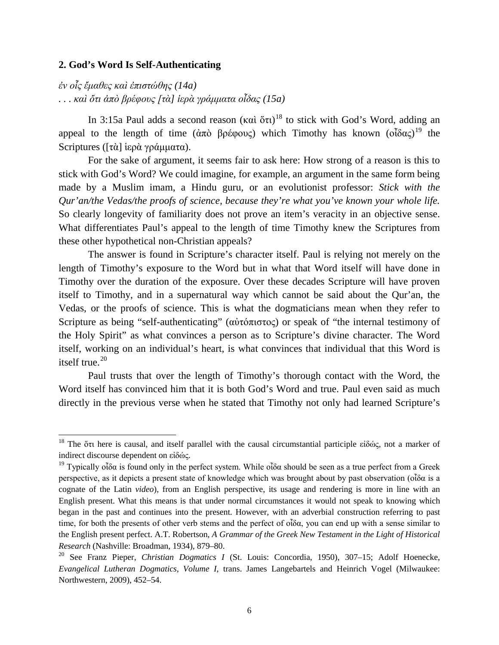#### **2. God's Word Is Self-Authenticating**

*ἐν οἷς ἔμαθες καὶ ἐπιστώθης (14a) . . . καὶ ὅτι ἀπὸ βρέφους [τὰ] ἱερὰ γράμματα οἶδας (15a)*

In 3:15a Paul adds a second reason (καὶ ὅτι)<sup>[18](#page-5-0)</sup> to stick with God's Word, adding an appeal to the length of time ( $\dot{\alpha}\pi\dot{\alpha}$  βρέφους) which Timothy has known  $(\tilde{\delta}\delta\alpha\zeta)^{19}$  $(\tilde{\delta}\delta\alpha\zeta)^{19}$  $(\tilde{\delta}\delta\alpha\zeta)^{19}$  the Scriptures ([τὰ] ἱερὰ γράμματα).

For the sake of argument, it seems fair to ask here: How strong of a reason is this to stick with God's Word? We could imagine, for example, an argument in the same form being made by a Muslim imam, a Hindu guru, or an evolutionist professor: *Stick with the Qur'an/the Vedas/the proofs of science, because they're what you've known your whole life.* So clearly longevity of familiarity does not prove an item's veracity in an objective sense. What differentiates Paul's appeal to the length of time Timothy knew the Scriptures from these other hypothetical non-Christian appeals?

The answer is found in Scripture's character itself. Paul is relying not merely on the length of Timothy's exposure to the Word but in what that Word itself will have done in Timothy over the duration of the exposure. Over these decades Scripture will have proven itself to Timothy, and in a supernatural way which cannot be said about the Qur'an, the Vedas, or the proofs of science. This is what the dogmaticians mean when they refer to Scripture as being "self-authenticating" (αὐτόπιστος) or speak of "the internal testimony of the Holy Spirit" as what convinces a person as to Scripture's divine character. The Word itself, working on an individual's heart, is what convinces that individual that this Word is itself true. $20$ 

Paul trusts that over the length of Timothy's thorough contact with the Word, the Word itself has convinced him that it is both God's Word and true. Paul even said as much directly in the previous verse when he stated that Timothy not only had learned Scripture's

<span id="page-5-0"></span><sup>&</sup>lt;sup>18</sup> The ὅτι here is causal, and itself parallel with the causal circumstantial participle εἰδώς, not a marker of indirect discourse dependent on εἰδώς.

<span id="page-5-1"></span><sup>&</sup>lt;sup>19</sup> Typically οἶδα is found only in the perfect system. While οἶδα should be seen as a true perfect from a Greek perspective, as it depicts a present state of knowledge which was brought about by past observation (οἶδα is a cognate of the Latin *video*), from an English perspective, its usage and rendering is more in line with an English present. What this means is that under normal circumstances it would not speak to knowing which began in the past and continues into the present. However, with an adverbial construction referring to past time, for both the presents of other verb stems and the perfect of οἶδα, you can end up with a sense similar to the English present perfect. A.T. Robertson, *A Grammar of the Greek New Testament in the Light of Historical Research* (Nashville: Broadman, 1934), 879–80.

<span id="page-5-2"></span><sup>20</sup> See Franz Pieper, *Christian Dogmatics I* (St. Louis: Concordia, 1950), 307–15; Adolf Hoenecke, *Evangelical Lutheran Dogmatics, Volume I*, trans. James Langebartels and Heinrich Vogel (Milwaukee: Northwestern, 2009), 452–54.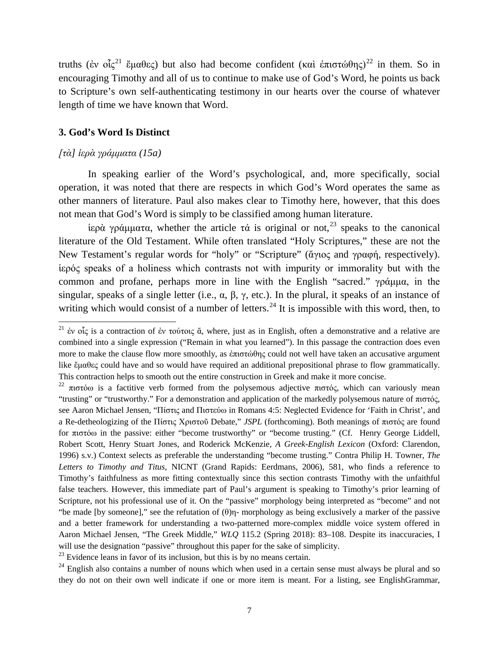truths (ἐν οἶς<sup>[21](#page-6-0)</sup> ἔμαθες) but also had become confident (καὶ ἐπιστώθης)<sup>[22](#page-6-1)</sup> in them. So in encouraging Timothy and all of us to continue to make use of God's Word, he points us back to Scripture's own self-authenticating testimony in our hearts over the course of whatever length of time we have known that Word.

#### **3. God's Word Is Distinct**

#### *[τὰ] ἱερὰ γράμματα (15a)*

In speaking earlier of the Word's psychological, and, more specifically, social operation, it was noted that there are respects in which God's Word operates the same as other manners of literature. Paul also makes clear to Timothy here, however, that this does not mean that God's Word is simply to be classified among human literature.

iερὰ γράμματα, whether the article τά is original or not,<sup>[23](#page-6-2)</sup> speaks to the canonical literature of the Old Testament. While often translated "Holy Scriptures," these are not the New Testament's regular words for "holy" or "Scripture" (ἄγιος and γραφή, respectively). ἱερός speaks of a holiness which contrasts not with impurity or immorality but with the common and profane, perhaps more in line with the English "sacred." γράμμα, in the singular, speaks of a single letter (i.e.,  $\alpha$ ,  $\beta$ ,  $\gamma$ , etc.). In the plural, it speaks of an instance of writing which would consist of a number of letters.<sup>[24](#page-6-3)</sup> It is impossible with this word, then, to

<span id="page-6-2"></span> $23$  Evidence leans in favor of its inclusion, but this is by no means certain.

<span id="page-6-0"></span><sup>&</sup>lt;sup>21</sup> έν οἶς is a contraction of έν τούτοις ἅ, where, just as in English, often a demonstrative and a relative are combined into a single expression ("Remain in what you learned"). In this passage the contraction does even more to make the clause flow more smoothly, as ἐπιστώθης could not well have taken an accusative argument like ἕμαθες could have and so would have required an additional prepositional phrase to flow grammatically. This contraction helps to smooth out the entire construction in Greek and make it more concise.

<span id="page-6-1"></span><sup>&</sup>lt;sup>22</sup> πιστόω is a factitive verb formed from the polysemous adjective πιστός, which can variously mean "trusting" or "trustworthy." For a demonstration and application of the markedly polysemous nature of πιστός, see Aaron Michael Jensen, "Πίστις and Πιστεύω in Romans 4:5: Neglected Evidence for 'Faith in Christ', and a Re-detheologizing of the Πίστις Χριστοῦ Debate," *JSPL* (forthcoming). Both meanings of πιστός are found for πιστόω in the passive: either "become trustworthy" or "become trusting." (Cf. Henry George Liddell, Robert Scott, Henry Stuart Jones, and Roderick McKenzie, *A Greek-English Lexicon* (Oxford: Clarendon, 1996) s.v.) Context selects as preferable the understanding "become trusting." Contra Philip H. Towner, *The Letters to Timothy and Titus*, NICNT (Grand Rapids: Eerdmans, 2006), 581, who finds a reference to Timothy's faithfulness as more fitting contextually since this section contrasts Timothy with the unfaithful false teachers. However, this immediate part of Paul's argument is speaking to Timothy's prior learning of Scripture, not his professional use of it. On the "passive" morphology being interpreted as "become" and not "be made [by someone]," see the refutation of  $(\theta)$ η- morphology as being exclusively a marker of the passive and a better framework for understanding a two-patterned more-complex middle voice system offered in Aaron Michael Jensen, "The Greek Middle," *WLQ* 115.2 (Spring 2018): 83–108. Despite its inaccuracies, I will use the designation "passive" throughout this paper for the sake of simplicity.

<span id="page-6-3"></span> $24$  English also contains a number of nouns which when used in a certain sense must always be plural and so they do not on their own well indicate if one or more item is meant. For a listing, see EnglishGrammar,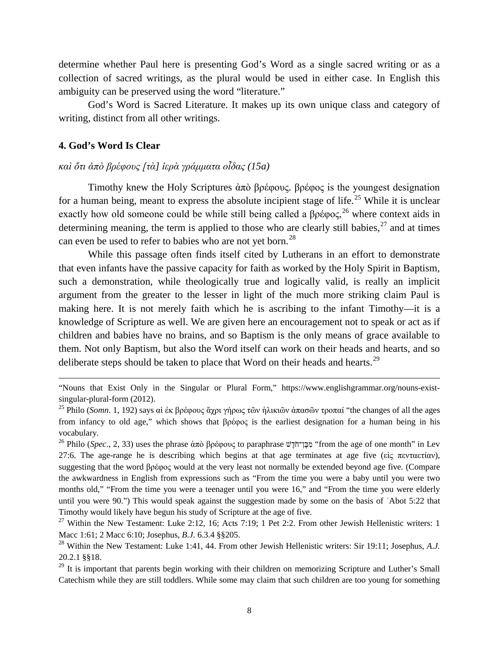determine whether Paul here is presenting God's Word as a single sacred writing or as a collection of sacred writings, as the plural would be used in either case. In English this ambiguity can be preserved using the word "literature."

God's Word is Sacred Literature. It makes up its own unique class and category of writing, distinct from all other writings.

#### **4. God's Word Is Clear**

 $\overline{a}$ 

## *καὶ ὅτι ἀπὸ βρέφους [τὰ] ἱερὰ γράμματα οἶδας (15a)*

Timothy knew the Holy Scriptures ἀπὸ βρέφους. βρέφος is the youngest designation for a human being, meant to express the absolute incipient stage of life.<sup>[25](#page-7-0)</sup> While it is unclear exactly how old someone could be while still being called a  $\beta \rho \epsilon \varphi$  where context aids in determining meaning, the term is applied to those who are clearly still babies,  $27$  and at times can even be used to refer to babies who are not yet born.<sup>[28](#page-7-3)</sup>

While this passage often finds itself cited by Lutherans in an effort to demonstrate that even infants have the passive capacity for faith as worked by the Holy Spirit in Baptism, such a demonstration, while theologically true and logically valid, is really an implicit argument from the greater to the lesser in light of the much more striking claim Paul is making here. It is not merely faith which he is ascribing to the infant Timothy—it is a knowledge of Scripture as well. We are given here an encouragement not to speak or act as if children and babies have no brains, and so Baptism is the only means of grace available to them. Not only Baptism, but also the Word itself can work on their heads and hearts, and so deliberate steps should be taken to place that Word on their heads and hearts.<sup>[29](#page-7-4)</sup>

"Nouns that Exist Only in the Singular or Plural Form," https://www.englishgrammar.org/nouns-existsingular-plural-form (2012).

<span id="page-7-0"></span><sup>25</sup> Philo (*Somn*. 1, 192) says αἱ ἐκ βρέφους ἄχρι γήρως τῶν ἡλικιῶν ἁπασῶν τροπαί "the changes of all the ages from infancy to old age," which shows that βρέφος is the earliest designation for a human being in his vocabulary.

<span id="page-7-1"></span><sup>&</sup>lt;sup>26</sup> Philo (*Spec.*, 2, 33) uses the phrase ἀπὸ βρέφους to paraphrase <del>ψτης φερειμές</del> (from the age of one month" in Lev 27:6. The age-range he is describing which begins at that age terminates at age five (εἰς πενταετίαν), suggesting that the word βρέφος would at the very least not normally be extended beyond age five. (Compare the awkwardness in English from expressions such as "From the time you were a baby until you were two months old," "From the time you were a teenager until you were 16," and "From the time you were elderly until you were 90.") This would speak against the suggestion made by some on the basis of 'Abot 5:22 that Timothy would likely have begun his study of Scripture at the age of five.

<span id="page-7-2"></span><sup>&</sup>lt;sup>27</sup> Within the New Testament: Luke 2:12, 16; Acts 7:19; 1 Pet 2:2. From other Jewish Hellenistic writers: 1 Macc 1:61; 2 Macc 6:10; Josephus, *B.J.* 6.3.4 §§205.

<span id="page-7-3"></span><sup>28</sup> Within the New Testament: Luke 1:41, 44. From other Jewish Hellenistic writers: Sir 19:11; Josephus, *A*.*J.* 20.2.1 §§18.

<span id="page-7-4"></span><sup>&</sup>lt;sup>29</sup> It is important that parents begin working with their children on memorizing Scripture and Luther's Small Catechism while they are still toddlers. While some may claim that such children are too young for something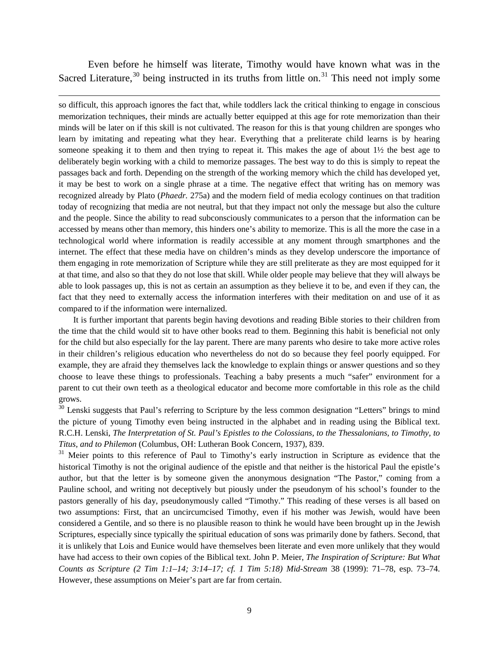Even before he himself was literate, Timothy would have known what was in the Sacred Literature,  $30$  being instructed in its truths from little on.  $31$  This need not imply some

 $\overline{\phantom{a}}$ 

so difficult, this approach ignores the fact that, while toddlers lack the critical thinking to engage in conscious memorization techniques, their minds are actually better equipped at this age for rote memorization than their minds will be later on if this skill is not cultivated. The reason for this is that young children are sponges who learn by imitating and repeating what they hear. Everything that a preliterate child learns is by hearing someone speaking it to them and then trying to repeat it. This makes the age of about  $1\frac{1}{2}$  the best age to deliberately begin working with a child to memorize passages. The best way to do this is simply to repeat the passages back and forth. Depending on the strength of the working memory which the child has developed yet, it may be best to work on a single phrase at a time. The negative effect that writing has on memory was recognized already by Plato (*Phaedr.* 275a) and the modern field of media ecology continues on that tradition today of recognizing that media are not neutral, but that they impact not only the message but also the culture and the people. Since the ability to read subconsciously communicates to a person that the information can be accessed by means other than memory, this hinders one's ability to memorize. This is all the more the case in a technological world where information is readily accessible at any moment through smartphones and the internet. The effect that these media have on children's minds as they develop underscore the importance of them engaging in rote memorization of Scripture while they are still preliterate as they are most equipped for it at that time, and also so that they do not lose that skill. While older people may believe that they will always be able to look passages up, this is not as certain an assumption as they believe it to be, and even if they can, the fact that they need to externally access the information interferes with their meditation on and use of it as compared to if the information were internalized.

It is further important that parents begin having devotions and reading Bible stories to their children from the time that the child would sit to have other books read to them. Beginning this habit is beneficial not only for the child but also especially for the lay parent. There are many parents who desire to take more active roles in their children's religious education who nevertheless do not do so because they feel poorly equipped. For example, they are afraid they themselves lack the knowledge to explain things or answer questions and so they choose to leave these things to professionals. Teaching a baby presents a much "safer" environment for a parent to cut their own teeth as a theological educator and become more comfortable in this role as the child grows.

<span id="page-8-0"></span> $30$  Lenski suggests that Paul's referring to Scripture by the less common designation "Letters" brings to mind the picture of young Timothy even being instructed in the alphabet and in reading using the Biblical text. R.C.H. Lenski, *The Interpretation of St. Paul's Epistles to the Colossians, to the Thessalonians, to Timothy, to Titus, and to Philemon* (Columbus, OH: Lutheran Book Concern, 1937), 839.

<span id="page-8-1"></span><sup>31</sup> Meier points to this reference of Paul to Timothy's early instruction in Scripture as evidence that the historical Timothy is not the original audience of the epistle and that neither is the historical Paul the epistle's author, but that the letter is by someone given the anonymous designation "The Pastor," coming from a Pauline school, and writing not deceptively but piously under the pseudonym of his school's founder to the pastors generally of his day, pseudonymously called "Timothy." This reading of these verses is all based on two assumptions: First, that an uncircumcised Timothy, even if his mother was Jewish, would have been considered a Gentile, and so there is no plausible reason to think he would have been brought up in the Jewish Scriptures, especially since typically the spiritual education of sons was primarily done by fathers. Second, that it is unlikely that Lois and Eunice would have themselves been literate and even more unlikely that they would have had access to their own copies of the Biblical text. John P. Meier, *The Inspiration of Scripture: But What Counts as Scripture (2 Tim 1:1–14; 3:14–17; cf. 1 Tim 5:18) Mid-Stream* 38 (1999): 71–78, esp. 73–74. However, these assumptions on Meier's part are far from certain.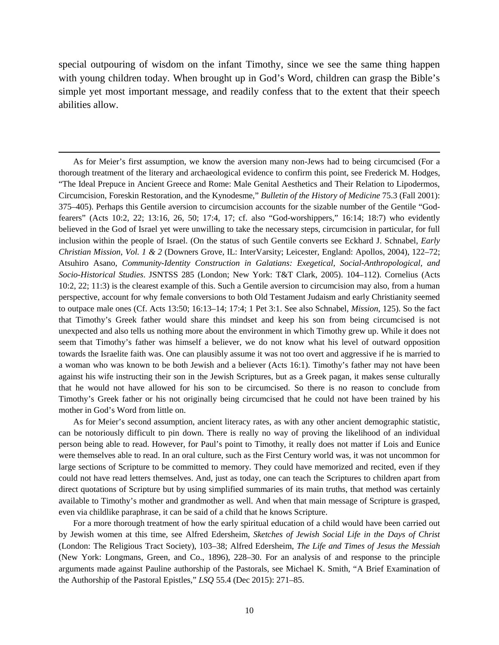special outpouring of wisdom on the infant Timothy, since we see the same thing happen with young children today. When brought up in God's Word, children can grasp the Bible's simple yet most important message, and readily confess that to the extent that their speech abilities allow.

 $\overline{\phantom{a}}$ 

As for Meier's first assumption, we know the aversion many non-Jews had to being circumcised (For a thorough treatment of the literary and archaeological evidence to confirm this point, see Frederick M. Hodges, "The Ideal Prepuce in Ancient Greece and Rome: Male Genital Aesthetics and Their Relation to Lipodermos, Circumcision, Foreskin Restoration, and the Kynodesme," *Bulletin of the History of Medicine* 75.3 (Fall 2001): 375–405). Perhaps this Gentile aversion to circumcision accounts for the sizable number of the Gentile "Godfearers" (Acts 10:2, 22; 13:16, 26, 50; 17:4, 17; cf. also "God-worshippers," 16:14; 18:7) who evidently believed in the God of Israel yet were unwilling to take the necessary steps, circumcision in particular, for full inclusion within the people of Israel. (On the status of such Gentile converts see Eckhard J. Schnabel, *Early Christian Mission, Vol. 1 & 2* (Downers Grove, IL: InterVarsity; Leicester, England: Apollos, 2004), 122–72; Atsuhiro Asano, *Community-Identity Construction in Galatians: Exegetical, Social-Anthropological, and Socio-Historical Studies*. JSNTSS 285 (London; New York: T&T Clark, 2005). 104–112). Cornelius (Acts 10:2, 22; 11:3) is the clearest example of this. Such a Gentile aversion to circumcision may also, from a human perspective, account for why female conversions to both Old Testament Judaism and early Christianity seemed to outpace male ones (Cf. Acts 13:50; 16:13–14; 17:4; 1 Pet 3:1. See also Schnabel, *Mission*, 125). So the fact that Timothy's Greek father would share this mindset and keep his son from being circumcised is not unexpected and also tells us nothing more about the environment in which Timothy grew up. While it does not seem that Timothy's father was himself a believer, we do not know what his level of outward opposition towards the Israelite faith was. One can plausibly assume it was not too overt and aggressive if he is married to a woman who was known to be both Jewish and a believer (Acts 16:1). Timothy's father may not have been against his wife instructing their son in the Jewish Scriptures, but as a Greek pagan, it makes sense culturally that he would not have allowed for his son to be circumcised. So there is no reason to conclude from Timothy's Greek father or his not originally being circumcised that he could not have been trained by his mother in God's Word from little on.

As for Meier's second assumption, ancient literacy rates, as with any other ancient demographic statistic, can be notoriously difficult to pin down. There is really no way of proving the likelihood of an individual person being able to read. However, for Paul's point to Timothy, it really does not matter if Lois and Eunice were themselves able to read. In an oral culture, such as the First Century world was, it was not uncommon for large sections of Scripture to be committed to memory. They could have memorized and recited, even if they could not have read letters themselves. And, just as today, one can teach the Scriptures to children apart from direct quotations of Scripture but by using simplified summaries of its main truths, that method was certainly available to Timothy's mother and grandmother as well. And when that main message of Scripture is grasped, even via childlike paraphrase, it can be said of a child that he knows Scripture.

For a more thorough treatment of how the early spiritual education of a child would have been carried out by Jewish women at this time, see Alfred Edersheim, *Sketches of Jewish Social Life in the Days of Christ*  (London: The Religious Tract Society), 103–38; Alfred Edersheim, *The Life and Times of Jesus the Messiah* (New York: Longmans, Green, and Co., 1896), 228–30. For an analysis of and response to the principle arguments made against Pauline authorship of the Pastorals, see Michael K. Smith, "A Brief Examination of the Authorship of the Pastoral Epistles," *LSQ* 55.4 (Dec 2015): 271–85.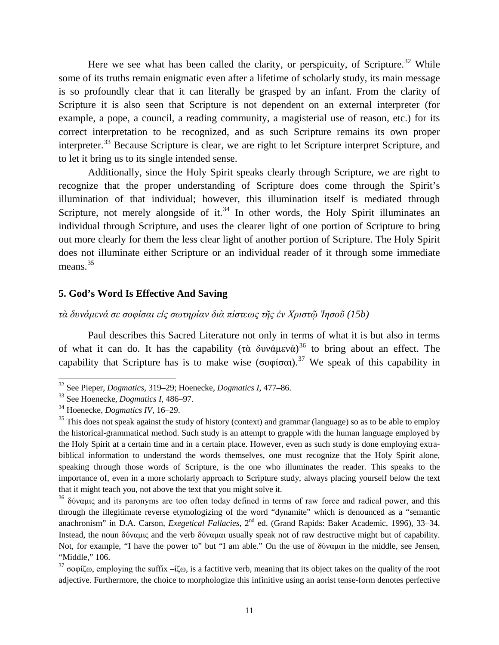Here we see what has been called the clarity, or perspicuity, of Scripture.<sup>[32](#page-10-0)</sup> While some of its truths remain enigmatic even after a lifetime of scholarly study, its main message is so profoundly clear that it can literally be grasped by an infant. From the clarity of Scripture it is also seen that Scripture is not dependent on an external interpreter (for example, a pope, a council, a reading community, a magisterial use of reason, etc.) for its correct interpretation to be recognized, and as such Scripture remains its own proper interpreter.<sup>[33](#page-10-1)</sup> Because Scripture is clear, we are right to let Scripture interpret Scripture, and to let it bring us to its single intended sense.

Additionally, since the Holy Spirit speaks clearly through Scripture, we are right to recognize that the proper understanding of Scripture does come through the Spirit's illumination of that individual; however, this illumination itself is mediated through Scripture, not merely alongside of it.<sup>[34](#page-10-2)</sup> In other words, the Holy Spirit illuminates an individual through Scripture, and uses the clearer light of one portion of Scripture to bring out more clearly for them the less clear light of another portion of Scripture. The Holy Spirit does not illuminate either Scripture or an individual reader of it through some immediate means.<sup>[35](#page-10-3)</sup>

#### **5. God's Word Is Effective And Saving**

*τὰ δυνάμενά σε σοφίσαι εἰς σωτηρίαν διὰ πίστεως τῆς ἐν Χριστῷ Ἰησοῦ (15b)*

Paul describes this Sacred Literature not only in terms of what it is but also in terms of what it can do. It has the capability (τὰ δυνάμενά)<sup>[36](#page-10-4)</sup> to bring about an effect. The capability that Scripture has is to make wise (σοφίσαι).<sup>[37](#page-10-5)</sup> We speak of this capability in

<span id="page-10-0"></span><sup>32</sup> See Pieper, *Dogmatics*, 319–29; Hoenecke, *Dogmatics I*, 477–86.

<span id="page-10-1"></span><sup>33</sup> See Hoenecke, *Dogmatics I*, 486–97.

<span id="page-10-2"></span><sup>34</sup> Hoenecke, *Dogmatics IV*, 16–29.

<span id="page-10-3"></span> $35$  This does not speak against the study of history (context) and grammar (language) so as to be able to employ the historical-grammatical method. Such study is an attempt to grapple with the human language employed by the Holy Spirit at a certain time and in a certain place. However, even as such study is done employing extrabiblical information to understand the words themselves, one must recognize that the Holy Spirit alone, speaking through those words of Scripture, is the one who illuminates the reader. This speaks to the importance of, even in a more scholarly approach to Scripture study, always placing yourself below the text that it might teach you, not above the text that you might solve it.

<span id="page-10-4"></span><sup>&</sup>lt;sup>36</sup> δύναμις and its paronyms are too often today defined in terms of raw force and radical power, and this through the illegitimate reverse etymologizing of the word "dynamite" which is denounced as a "semantic anachronism" in D.A. Carson, *Exegetical Fallacies,* 2nd ed. (Grand Rapids: Baker Academic, 1996), 33–34. Instead, the noun δύναμις and the verb δύναμαι usually speak not of raw destructive might but of capability. Not, for example, "I have the power to" but "I am able." On the use of δύναμαι in the middle, see Jensen, "Middle," 106.

<span id="page-10-5"></span><sup>&</sup>lt;sup>37</sup> σοφίζω, employing the suffix –ίζω, is a factitive verb, meaning that its object takes on the quality of the root adjective. Furthermore, the choice to morphologize this infinitive using an aorist tense-form denotes perfective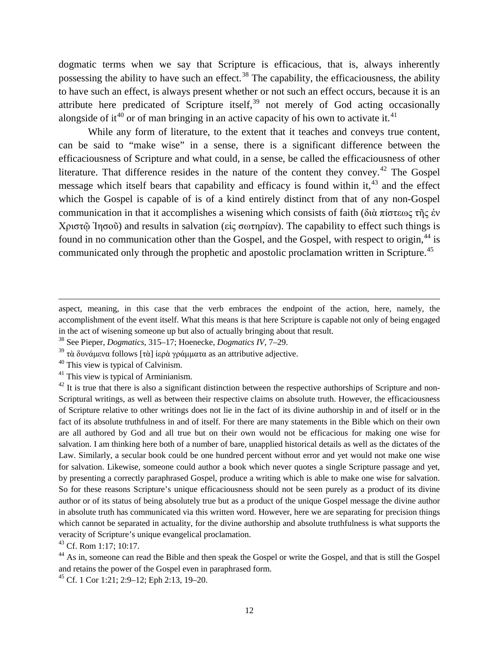dogmatic terms when we say that Scripture is efficacious, that is, always inherently possessing the ability to have such an effect.<sup>[38](#page-11-0)</sup> The capability, the efficaciousness, the ability to have such an effect, is always present whether or not such an effect occurs, because it is an attribute here predicated of Scripture itself,  $39$  not merely of God acting occasionally alongside of it<sup>[40](#page-11-2)</sup> or of man bringing in an active capacity of his own to activate it.<sup>[41](#page-11-3)</sup>

While any form of literature, to the extent that it teaches and conveys true content, can be said to "make wise" in a sense, there is a significant difference between the efficaciousness of Scripture and what could, in a sense, be called the efficaciousness of other literature. That difference resides in the nature of the content they convey.<sup>[42](#page-11-4)</sup> The Gospel message which itself bears that capability and efficacy is found within it,  $43$  and the effect which the Gospel is capable of is of a kind entirely distinct from that of any non-Gospel communication in that it accomplishes a wisening which consists of faith (διὰ πίστεως τῆς ἐν Χριστῷ Ἰησοῦ) and results in salvation (εἰς σωτηρίαν). The capability to effect such things is found in no communication other than the Gospel, and the Gospel, with respect to origin,<sup>[44](#page-11-6)</sup> is communicated only through the prophetic and apostolic proclamation written in Scripture.<sup>[45](#page-11-7)</sup>

 $\overline{a}$ 

aspect, meaning, in this case that the verb embraces the endpoint of the action, here, namely, the accomplishment of the event itself. What this means is that here Scripture is capable not only of being engaged in the act of wisening someone up but also of actually bringing about that result.

<span id="page-11-0"></span><sup>38</sup> See Pieper, *Dogmatics*, 315–17; Hoenecke, *Dogmatics IV*, 7–29.

<span id="page-11-1"></span> $^{39}$  τὰ δυνάμενα follows [τὰ] ἱερὰ γράμματα as an attributive adjective.

<span id="page-11-2"></span> $40$  This view is typical of Calvinism.

<span id="page-11-3"></span> $41$  This view is typical of Arminianism.

<span id="page-11-4"></span> $^{42}$  It is true that there is also a significant distinction between the respective authorships of Scripture and non-Scriptural writings, as well as between their respective claims on absolute truth. However, the efficaciousness of Scripture relative to other writings does not lie in the fact of its divine authorship in and of itself or in the fact of its absolute truthfulness in and of itself. For there are many statements in the Bible which on their own are all authored by God and all true but on their own would not be efficacious for making one wise for salvation. I am thinking here both of a number of bare, unapplied historical details as well as the dictates of the Law. Similarly, a secular book could be one hundred percent without error and yet would not make one wise for salvation. Likewise, someone could author a book which never quotes a single Scripture passage and yet, by presenting a correctly paraphrased Gospel, produce a writing which is able to make one wise for salvation. So for these reasons Scripture's unique efficaciousness should not be seen purely as a product of its divine author or of its status of being absolutely true but as a product of the unique Gospel message the divine author in absolute truth has communicated via this written word. However, here we are separating for precision things which cannot be separated in actuality, for the divine authorship and absolute truthfulness is what supports the veracity of Scripture's unique evangelical proclamation.

<span id="page-11-5"></span><sup>43</sup> Cf. Rom 1:17; 10:17.

<span id="page-11-6"></span><sup>&</sup>lt;sup>44</sup> As in, someone can read the Bible and then speak the Gospel or write the Gospel, and that is still the Gospel and retains the power of the Gospel even in paraphrased form.

<span id="page-11-7"></span><sup>45</sup> Cf. 1 Cor 1:21; 2:9–12; Eph 2:13, 19–20.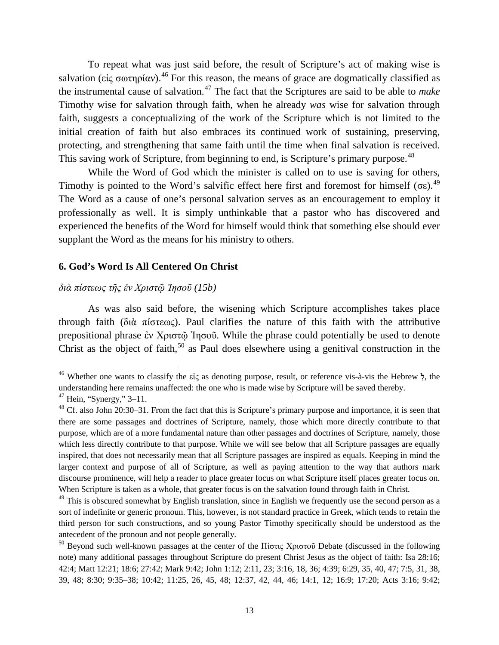To repeat what was just said before, the result of Scripture's act of making wise is salvation (εἰς σωτηρίαν).<sup>[46](#page-12-0)</sup> For this reason, the means of grace are dogmatically classified as the instrumental cause of salvation.[47](#page-12-1) The fact that the Scriptures are said to be able to *make* Timothy wise for salvation through faith, when he already *was* wise for salvation through faith, suggests a conceptualizing of the work of the Scripture which is not limited to the initial creation of faith but also embraces its continued work of sustaining, preserving, protecting, and strengthening that same faith until the time when final salvation is received. This saving work of Scripture, from beginning to end, is Scripture's primary purpose.<sup>[48](#page-12-2)</sup>

While the Word of God which the minister is called on to use is saving for others, Timothy is pointed to the Word's salvific effect here first and foremost for himself (σε).<sup>[49](#page-12-3)</sup> The Word as a cause of one's personal salvation serves as an encouragement to employ it professionally as well. It is simply unthinkable that a pastor who has discovered and experienced the benefits of the Word for himself would think that something else should ever supplant the Word as the means for his ministry to others.

#### **6. God's Word Is All Centered On Christ**

## *διὰ πίστεως τῆς ἐν Χριστῷ Ἰησοῦ (15b)*

As was also said before, the wisening which Scripture accomplishes takes place through faith (διὰ πίστεως). Paul clarifies the nature of this faith with the attributive prepositional phrase ἐν Χριστῷ Ἰησοῦ. While the phrase could potentially be used to denote Christ as the object of faith,<sup>[50](#page-12-4)</sup> as Paul does elsewhere using a genitival construction in the

<span id="page-12-0"></span><sup>46</sup> Whether one wants to classify the εἰς as denoting purpose, result, or reference vis-à-vis the Hebrew **ְל**, the understanding here remains unaffected: the one who is made wise by Scripture will be saved thereby.

<span id="page-12-1"></span> $47$  Hein, "Synergy," 3–11.

<span id="page-12-2"></span><sup>&</sup>lt;sup>48</sup> Cf. also John 20:30–31. From the fact that this is Scripture's primary purpose and importance, it is seen that there are some passages and doctrines of Scripture, namely, those which more directly contribute to that purpose, which are of a more fundamental nature than other passages and doctrines of Scripture, namely, those which less directly contribute to that purpose. While we will see below that all Scripture passages are equally inspired, that does not necessarily mean that all Scripture passages are inspired as equals. Keeping in mind the larger context and purpose of all of Scripture, as well as paying attention to the way that authors mark discourse prominence, will help a reader to place greater focus on what Scripture itself places greater focus on. When Scripture is taken as a whole, that greater focus is on the salvation found through faith in Christ.

<span id="page-12-3"></span><sup>&</sup>lt;sup>49</sup> This is obscured somewhat by English translation, since in English we frequently use the second person as a sort of indefinite or generic pronoun. This, however, is not standard practice in Greek, which tends to retain the third person for such constructions, and so young Pastor Timothy specifically should be understood as the antecedent of the pronoun and not people generally.

<span id="page-12-4"></span><sup>&</sup>lt;sup>50</sup> Beyond such well-known passages at the center of the Πίστις Χριστοῦ Debate (discussed in the following note) many additional passages throughout Scripture do present Christ Jesus as the object of faith: Isa 28:16; 42:4; Matt 12:21; 18:6; 27:42; Mark 9:42; John 1:12; 2:11, 23; 3:16, 18, 36; 4:39; 6:29, 35, 40, 47; 7:5, 31, 38, 39, 48; 8:30; 9:35–38; 10:42; 11:25, 26, 45, 48; 12:37, 42, 44, 46; 14:1, 12; 16:9; 17:20; Acts 3:16; 9:42;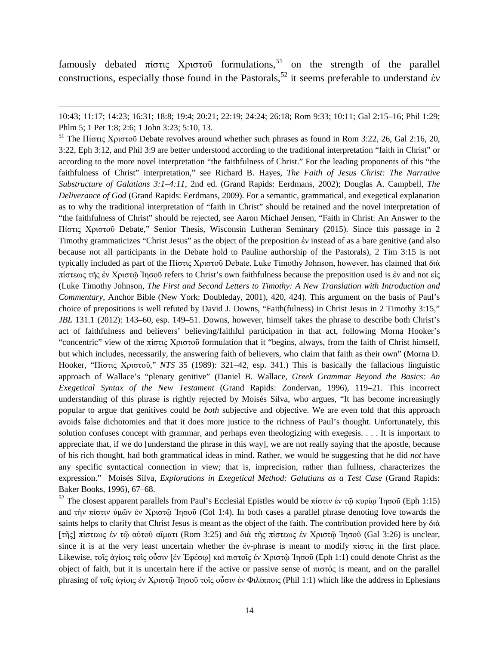famously debated πίστις Χριστοῦ formulations,<sup>[51](#page-13-0)</sup> on the strength of the parallel constructions, especially those found in the Pastorals,<sup>[52](#page-13-1)</sup> it seems preferable to understand έν

l

<span id="page-13-0"></span><sup>51</sup> The Πίστις Χριστοῦ Debate revolves around whether such phrases as found in Rom 3:22, 26, Gal 2:16, 20, 3:22, Eph 3:12, and Phil 3:9 are better understood according to the traditional interpretation "faith in Christ" or according to the more novel interpretation "the faithfulness of Christ." For the leading proponents of this "the faithfulness of Christ" interpretation," see Richard B. Hayes, *The Faith of Jesus Christ: The Narrative Substructure of Galatians 3:1–4:11*, 2nd ed. (Grand Rapids: Eerdmans, 2002); Douglas A. Campbell, *The Deliverance of God* (Grand Rapids: Eerdmans, 2009). For a semantic, grammatical, and exegetical explanation as to why the traditional interpretation of "faith in Christ" should be retained and the novel interpretation of "the faithfulness of Christ" should be rejected, see Aaron Michael Jensen, "Faith in Christ: An Answer to the Πίστις Χριστοῦ Debate," Senior Thesis, Wisconsin Lutheran Seminary (2015). Since this passage in 2 Timothy grammaticizes "Christ Jesus" as the object of the preposition ἐν instead of as a bare genitive (and also because not all participants in the Debate hold to Pauline authorship of the Pastorals), 2 Tim 3:15 is not typically included as part of the Πίστις Χριστοῦ Debate. Luke Timothy Johnson, however, has claimed that διὰ πίστεως τῆς ἐν Χριστῷ Ἰησοῦ refers to Christ's own faithfulness because the preposition used is ἐν and not εἰς (Luke Timothy Johnson, *The First and Second Letters to Timothy: A New Translation with Introduction and Commentary*, Anchor Bible (New York: Doubleday, 2001), 420, 424). This argument on the basis of Paul's choice of prepositions is well refuted by David J. Downs, "Faith(fulness) in Christ Jesus in 2 Timothy 3:15," *JBL* 131.1 (2012): 143–60, esp. 149–51. Downs, however, himself takes the phrase to describe both Christ's act of faithfulness and believers' believing/faithful participation in that act, following Morna Hooker's "concentric" view of the πίστις Χριστοῦ formulation that it "begins, always, from the faith of Christ himself, but which includes, necessarily, the answering faith of believers, who claim that faith as their own" (Morna D. Hooker, "Πίστις Χριστοῦ," *NTS* 35 (1989): 321–42, esp. 341.) This is basically the fallacious linguistic approach of Wallace's "plenary genitive" (Daniel B. Wallace, *Greek Grammar Beyond the Basics: An Exegetical Syntax of the New Testament* (Grand Rapids: Zondervan, 1996), 119–21. This incorrect understanding of this phrase is rightly rejected by Moisés Silva, who argues, "It has become increasingly popular to argue that genitives could be *both* subjective and objective. We are even told that this approach avoids false dichotomies and that it does more justice to the richness of Paul's thought. Unfortunately, this solution confuses concept with grammar, and perhaps even theologizing with exegesis. . . . It is important to appreciate that, if we do [understand the phrase in this way], we are not really saying that the apostle, because of his rich thought, had both grammatical ideas in mind. Rather, we would be suggesting that he did *not* have any specific syntactical connection in view; that is, imprecision, rather than fullness, characterizes the expression." Moisés Silva, *Explorations in Exegetical Method: Galatians as a Test Case* (Grand Rapids: Baker Books, 1996), 67–68.

<span id="page-13-1"></span><sup>52</sup> The closest apparent parallels from Paul's Ecclesial Epistles would be πίστιν ἐν τῶ κυρίω Ἰησοῦ (Eph 1:15) and τὴν πίστιν ὑμῶν ἐν Χριστῷ Ἰησοῦ (Col 1:4). In both cases a parallel phrase denoting love towards the saints helps to clarify that Christ Jesus is meant as the object of the faith. The contribution provided here by  $\delta \dot{\alpha}$ [τῆς] πίστεως ἐν τῷ αὐτοῦ αἵματι (Rom 3:25) and διὰ τῆς πίστεως ἐν Χριστῷ Ἰησοῦ (Gal 3:26) is unclear, since it is at the very least uncertain whether the έν-phrase is meant to modify  $\pi$ ίστις in the first place. Likewise, τοῖς ἁγίοις τοῖς οὖσιν [ἐν Ἐφέσῳ] καὶ πιστοῖς ἐν Χριστῷ Ἰησοῦ (Eph 1:1) could denote Christ as the object of faith, but it is uncertain here if the active or passive sense of πιστός is meant, and on the parallel phrasing of τοῖς ἁγίοις ἐν Χριστῷ Ἰησοῦ τοῖς οὖσιν ἐν Φιλίπποις (Phil 1:1) which like the address in Ephesians

<sup>10:43; 11:17; 14:23; 16:31; 18:8; 19:4; 20:21; 22:19; 24:24; 26:18;</sup> Rom 9:33; 10:11; Gal 2:15–16; Phil 1:29; Phlm 5; 1 Pet 1:8; 2:6; 1 John 3:23; 5:10, 13.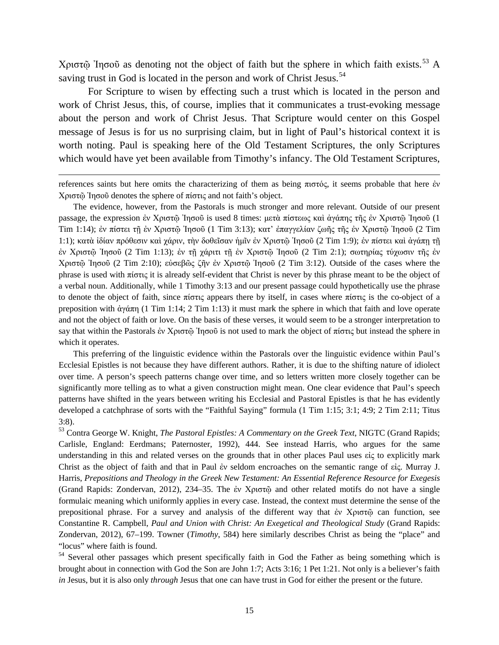Χριστῷ Ἰησοῦ as denoting not the object of faith but the sphere in which faith exists.[53](#page-14-0) A saving trust in God is located in the person and work of Christ Jesus.<sup>[54](#page-14-1)</sup>

For Scripture to wisen by effecting such a trust which is located in the person and work of Christ Jesus, this, of course, implies that it communicates a trust-evoking message about the person and work of Christ Jesus. That Scripture would center on this Gospel message of Jesus is for us no surprising claim, but in light of Paul's historical context it is worth noting. Paul is speaking here of the Old Testament Scriptures, the only Scriptures which would have yet been available from Timothy's infancy. The Old Testament Scriptures,

references saints but here omits the characterizing of them as being πιστός, it seems probable that here ἐν Χριστῷ Ἰησοῦ denotes the sphere of πίστις and not faith's object.

 $\overline{\phantom{a}}$ 

The evidence, however, from the Pastorals is much stronger and more relevant. Outside of our present passage, the expression ἐν Χριστῷ Ἰησοῦ is used 8 times: μετὰ πίστεως καὶ ἀγάπης τῆς ἐν Χριστῷ Ἰησοῦ (1 Tim 1:14); ἐν πίστει τῇ ἐν Χριστῷ Ἰησοῦ (1 Tim 3:13); κατ' ἐπαγγελίαν ζωῆς τῆς ἐν Χριστῷ Ἰησοῦ (2 Tim 1:1); κατὰ ἰδίαν πρόθεσιν καὶ χάριν, τὴν δοθεῖσαν ἡμῖν ἐν Χριστῷ Ἰησοῦ (2 Tim 1:9); ἐν πίστει καὶ ἀγάπῃ τῇ ἐν Χριστῷ Ἰησοῦ (2 Tim 1:13); ἐν τῇ χάριτι τῇ ἐν Χριστῷ Ἰησοῦ (2 Tim 2:1); σωτηρίας τύχωσιν τῆς ἐν Χριστῷ Ἰησοῦ (2 Tim 2:10); εὐσεβῶς ζῆν ἐν Χριστῷ Ἰησοῦ (2 Tim 3:12). Outside of the cases where the phrase is used with πίστις it is already self-evident that Christ is never by this phrase meant to be the object of a verbal noun. Additionally, while 1 Timothy 3:13 and our present passage could hypothetically use the phrase to denote the object of faith, since πίστις appears there by itself, in cases where πίστις is the co-object of a preposition with ἀγάπη (1 Tim 1:14; 2 Tim 1:13) it must mark the sphere in which that faith and love operate and not the object of faith or love. On the basis of these verses, it would seem to be a stronger interpretation to say that within the Pastorals ἐν Χριστῷ Ἰησοῦ is not used to mark the object of πίστις but instead the sphere in which it operates.

This preferring of the linguistic evidence within the Pastorals over the linguistic evidence within Paul's Ecclesial Epistles is not because they have different authors. Rather, it is due to the shifting nature of idiolect over time. A person's speech patterns change over time, and so letters written more closely together can be significantly more telling as to what a given construction might mean. One clear evidence that Paul's speech patterns have shifted in the years between writing his Ecclesial and Pastoral Epistles is that he has evidently developed a catchphrase of sorts with the "Faithful Saying" formula (1 Tim 1:15; 3:1; 4:9; 2 Tim 2:11; Titus 3:8).

<span id="page-14-0"></span><sup>53</sup> Contra George W. Knight, *The Pastoral Epistles: A Commentary on the Greek Text*, NIGTC (Grand Rapids; Carlisle, England: Eerdmans; Paternoster, 1992), 444. See instead Harris, who argues for the same understanding in this and related verses on the grounds that in other places Paul uses εἰς to explicitly mark Christ as the object of faith and that in Paul ἐν seldom encroaches on the semantic range of εἰς. Murray J. Harris, *Prepositions and Theology in the Greek New Testament: An Essential Reference Resource for Exegesis*  (Grand Rapids: Zondervan, 2012), 234–35. The ἐν Χριστῷ and other related motifs do not have a single formulaic meaning which uniformly applies in every case. Instead, the context must determine the sense of the prepositional phrase. For a survey and analysis of the different way that ἐν Χριστῷ can function, see Constantine R. Campbell, *Paul and Union with Christ: An Exegetical and Theological Study* (Grand Rapids: Zondervan, 2012), 67–199. Towner (*Timothy*, 584) here similarly describes Christ as being the "place" and "locus" where faith is found.

<span id="page-14-1"></span><sup>54</sup> Several other passages which present specifically faith in God the Father as being something which is brought about in connection with God the Son are John 1:7; Acts 3:16; 1 Pet 1:21. Not only is a believer's faith *in* Jesus, but it is also only *through* Jesus that one can have trust in God for either the present or the future.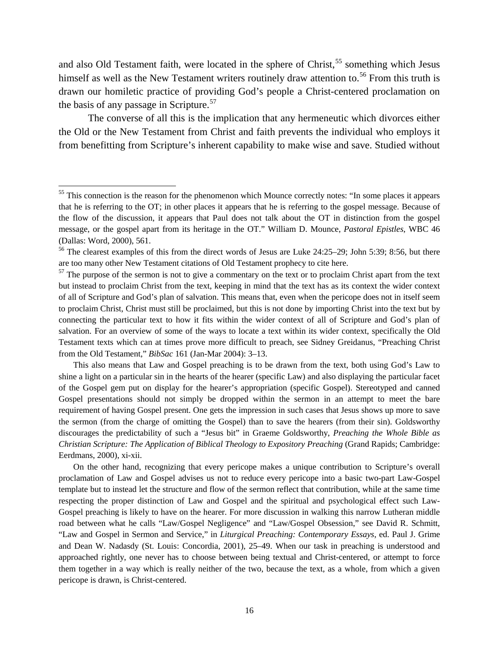and also Old Testament faith, were located in the sphere of  $Christ<sub>55</sub>$  $Christ<sub>55</sub>$  $Christ<sub>55</sub>$  something which Jesus himself as well as the New Testament writers routinely draw attention to.<sup>[56](#page-15-1)</sup> From this truth is drawn our homiletic practice of providing God's people a Christ-centered proclamation on the basis of any passage in Scripture.<sup>[57](#page-15-2)</sup>

The converse of all this is the implication that any hermeneutic which divorces either the Old or the New Testament from Christ and faith prevents the individual who employs it from benefitting from Scripture's inherent capability to make wise and save. Studied without

This also means that Law and Gospel preaching is to be drawn from the text, both using God's Law to shine a light on a particular sin in the hearts of the hearer (specific Law) and also displaying the particular facet of the Gospel gem put on display for the hearer's appropriation (specific Gospel). Stereotyped and canned Gospel presentations should not simply be dropped within the sermon in an attempt to meet the bare requirement of having Gospel present. One gets the impression in such cases that Jesus shows up more to save the sermon (from the charge of omitting the Gospel) than to save the hearers (from their sin). Goldsworthy discourages the predictability of such a "Jesus bit" in Graeme Goldsworthy, *Preaching the Whole Bible as Christian Scripture: The Application of Biblical Theology to Expository Preaching* (Grand Rapids; Cambridge: Eerdmans, 2000), xi-xii.

On the other hand, recognizing that every pericope makes a unique contribution to Scripture's overall proclamation of Law and Gospel advises us not to reduce every pericope into a basic two-part Law-Gospel template but to instead let the structure and flow of the sermon reflect that contribution, while at the same time respecting the proper distinction of Law and Gospel and the spiritual and psychological effect such Law-Gospel preaching is likely to have on the hearer. For more discussion in walking this narrow Lutheran middle road between what he calls "Law/Gospel Negligence" and "Law/Gospel Obsession," see David R. Schmitt, "Law and Gospel in Sermon and Service," in *Liturgical Preaching: Contemporary Essays*, ed. Paul J. Grime and Dean W. Nadasdy (St. Louis: Concordia, 2001), 25–49. When our task in preaching is understood and approached rightly, one never has to choose between being textual and Christ-centered, or attempt to force them together in a way which is really neither of the two, because the text, as a whole, from which a given pericope is drawn, is Christ-centered.

<span id="page-15-0"></span><sup>&</sup>lt;sup>55</sup> This connection is the reason for the phenomenon which Mounce correctly notes: "In some places it appears that he is referring to the OT; in other places it appears that he is referring to the gospel message. Because of the flow of the discussion, it appears that Paul does not talk about the OT in distinction from the gospel message, or the gospel apart from its heritage in the OT." William D. Mounce, *Pastoral Epistles*, WBC 46 (Dallas: Word, 2000), 561.

<span id="page-15-1"></span><sup>&</sup>lt;sup>56</sup> The clearest examples of this from the direct words of Jesus are Luke 24:25–29; John 5:39; 8:56, but there are too many other New Testament citations of Old Testament prophecy to cite here.

<span id="page-15-2"></span> $57$  The purpose of the sermon is not to give a commentary on the text or to proclaim Christ apart from the text but instead to proclaim Christ from the text, keeping in mind that the text has as its context the wider context of all of Scripture and God's plan of salvation. This means that, even when the pericope does not in itself seem to proclaim Christ, Christ must still be proclaimed, but this is not done by importing Christ into the text but by connecting the particular text to how it fits within the wider context of all of Scripture and God's plan of salvation. For an overview of some of the ways to locate a text within its wider context, specifically the Old Testament texts which can at times prove more difficult to preach, see Sidney Greidanus, "Preaching Christ from the Old Testament," *BibSac* 161 (Jan-Mar 2004): 3–13.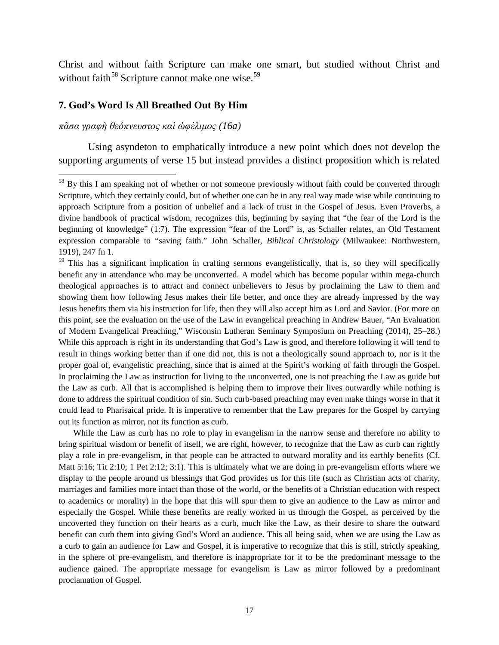Christ and without faith Scripture can make one smart, but studied without Christ and without faith<sup>[58](#page-16-0)</sup> Scripture cannot make one wise.<sup>[59](#page-16-1)</sup>

#### **7. God's Word Is All Breathed Out By Him**

*πᾶσα γραφὴ θεόπνευστος καὶ ὠφέλιμος (16a)*

Using asyndeton to emphatically introduce a new point which does not develop the supporting arguments of verse 15 but instead provides a distinct proposition which is related

While the Law as curb has no role to play in evangelism in the narrow sense and therefore no ability to bring spiritual wisdom or benefit of itself, we are right, however, to recognize that the Law as curb can rightly play a role in pre-evangelism, in that people can be attracted to outward morality and its earthly benefits (Cf. Matt 5:16; Tit 2:10; 1 Pet 2:12; 3:1). This is ultimately what we are doing in pre-evangelism efforts where we display to the people around us blessings that God provides us for this life (such as Christian acts of charity, marriages and families more intact than those of the world, or the benefits of a Christian education with respect to academics or morality) in the hope that this will spur them to give an audience to the Law as mirror and especially the Gospel. While these benefits are really worked in us through the Gospel, as perceived by the uncoverted they function on their hearts as a curb, much like the Law, as their desire to share the outward benefit can curb them into giving God's Word an audience. This all being said, when we are using the Law as a curb to gain an audience for Law and Gospel, it is imperative to recognize that this is still, strictly speaking, in the sphere of pre-evangelism, and therefore is inappropriate for it to be the predominant message to the audience gained. The appropriate message for evangelism is Law as mirror followed by a predominant proclamation of Gospel.

<span id="page-16-0"></span><sup>&</sup>lt;sup>58</sup> By this I am speaking not of whether or not someone previously without faith could be converted through Scripture, which they certainly could, but of whether one can be in any real way made wise while continuing to approach Scripture from a position of unbelief and a lack of trust in the Gospel of Jesus. Even Proverbs, a divine handbook of practical wisdom, recognizes this, beginning by saying that "the fear of the Lord is the beginning of knowledge" (1:7). The expression "fear of the Lord" is, as Schaller relates, an Old Testament expression comparable to "saving faith." John Schaller, *Biblical Christology* (Milwaukee: Northwestern, 1919), 247 fn 1.

<span id="page-16-1"></span><sup>&</sup>lt;sup>59</sup> This has a significant implication in crafting sermons evangelistically, that is, so they will specifically benefit any in attendance who may be unconverted. A model which has become popular within mega-church theological approaches is to attract and connect unbelievers to Jesus by proclaiming the Law to them and showing them how following Jesus makes their life better, and once they are already impressed by the way Jesus benefits them via his instruction for life, then they will also accept him as Lord and Savior. (For more on this point, see the evaluation on the use of the Law in evangelical preaching in Andrew Bauer, "An Evaluation of Modern Evangelical Preaching," Wisconsin Lutheran Seminary Symposium on Preaching (2014), 25–28.) While this approach is right in its understanding that God's Law is good, and therefore following it will tend to result in things working better than if one did not, this is not a theologically sound approach to, nor is it the proper goal of, evangelistic preaching, since that is aimed at the Spirit's working of faith through the Gospel. In proclaiming the Law as instruction for living to the unconverted, one is not preaching the Law as guide but the Law as curb. All that is accomplished is helping them to improve their lives outwardly while nothing is done to address the spiritual condition of sin. Such curb-based preaching may even make things worse in that it could lead to Pharisaical pride. It is imperative to remember that the Law prepares for the Gospel by carrying out its function as mirror, not its function as curb.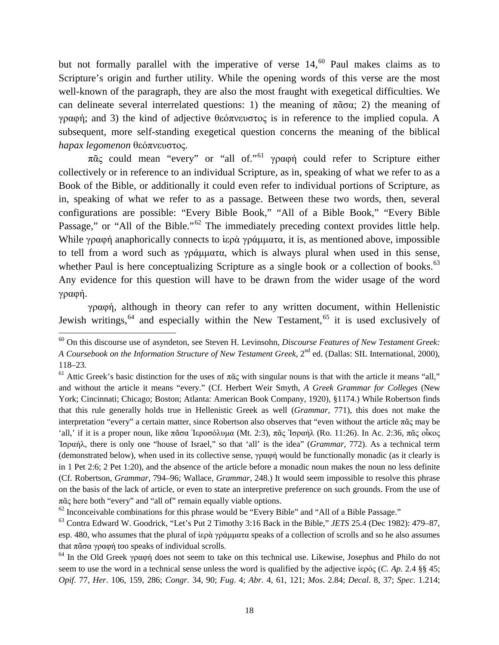but not formally parallel with the imperative of verse 14,<sup>[60](#page-17-0)</sup> Paul makes claims as to Scripture's origin and further utility. While the opening words of this verse are the most well-known of the paragraph, they are also the most fraught with exegetical difficulties. We can delineate several interrelated questions: 1) the meaning of  $\pi \tilde{\alpha} \sigma \alpha$ ; 2) the meaning of γραφή; and 3) the kind of adjective θεόπνευστος is in reference to the implied copula. A subsequent, more self-standing exegetical question concerns the meaning of the biblical *hapax legomenon* θεόπνευστος.

<span id="page-17-5"></span>πᾶς could mean "every" or "all of."<sup>[61](#page-17-1)</sup> γραφή could refer to Scripture either collectively or in reference to an individual Scripture, as in, speaking of what we refer to as a Book of the Bible, or additionally it could even refer to individual portions of Scripture, as in, speaking of what we refer to as a passage. Between these two words, then, several configurations are possible: "Every Bible Book," "All of a Bible Book," "Every Bible Passage," or "All of the Bible."<sup>[62](#page-17-2)</sup> The immediately preceding context provides little help. While γραφή anaphorically connects to  $i\epsilon\rho\dot{\alpha}$  γράμματα, it is, as mentioned above, impossible to tell from a word such as γράμματα, which is always plural when used in this sense, whether Paul is here conceptualizing Scripture as a single book or a collection of books.<sup>[63](#page-17-3)</sup> Any evidence for this question will have to be drawn from the wider usage of the word γραφή.

γραφή, although in theory can refer to any written document, within Hellenistic Jewish writings,  $64$  and especially within the New Testament,  $65$  it is used exclusively of

<span id="page-17-0"></span><sup>60</sup> On this discourse use of asyndeton, see Steven H. Levinsohn, *Discourse Features of New Testament Greek: A Coursebook on the Information Structure of New Testament Greek*, 2<sup>nd</sup> ed. (Dallas: SIL International, 2000), 118–23.

<span id="page-17-1"></span><sup>&</sup>lt;sup>61</sup> Attic Greek's basic distinction for the uses of  $\pi \tilde{\alpha}$  with singular nouns is that with the article it means "all," and without the article it means "every." (Cf. Herbert Weir Smyth, *A Greek Grammar for Colleges* (New York; Cincinnati; Chicago; Boston; Atlanta: American Book Company, 1920), §1174.) While Robertson finds that this rule generally holds true in Hellenistic Greek as well (*Grammar*, 771), this does not make the interpretation "every" a certain matter, since Robertson also observes that "even without the article πᾶς may be 'all,' if it is a proper noun, like πᾶσα Ἰεροσόλυμα (Mt. 2:3), πᾶς Ἰσραήλ (Ro. 11:26). In Ac. 2:36, πᾶς οἶκος Ἰσραήλ, there is only one "house of Israel," so that 'all' is the idea" (*Grammar*, 772). As a technical term (demonstrated below), when used in its collective sense, γραφή would be functionally monadic (as it clearly is in 1 Pet 2:6; 2 Pet 1:20), and the absence of the article before a monadic noun makes the noun no less definite (Cf. Robertson, *Grammar,* 794–96; Wallace, *Grammar*, 248.) It would seem impossible to resolve this phrase on the basis of the lack of article, or even to state an interpretive preference on such grounds. From the use of  $\pi\tilde{\alpha}\zeta$  here both "every" and "all of" remain equally viable options.

<span id="page-17-2"></span> $62$  Inconceivable combinations for this phrase would be "Every Bible" and "All of a Bible Passage."

<span id="page-17-3"></span><sup>63</sup> Contra Edward W. Goodrick, "Let's Put 2 Timothy 3:16 Back in the Bible," *JETS* 25.4 (Dec 1982): 479–87, esp. 480, who assumes that the plural of ἱερὰ γράμματα speaks of a collection of scrolls and so he also assumes that πᾶσα γραφή too speaks of individual scrolls.

<span id="page-17-4"></span><sup>64</sup> In the Old Greek γραφή does not seem to take on this technical use. Likewise, Josephus and Philo do not seem to use the word in a technical sense unless the word is qualified by the adjective ἱερός (*C. Ap.* 2.4 §§ 45; *Opif*. 77, *Her*. 106, 159, 286; *Congr.* 34, 90; *Fug*. 4; *Abr*. 4, 61, 121; *Mos*. 2.84; *Decal*. 8, 37; *Spec*. 1.214;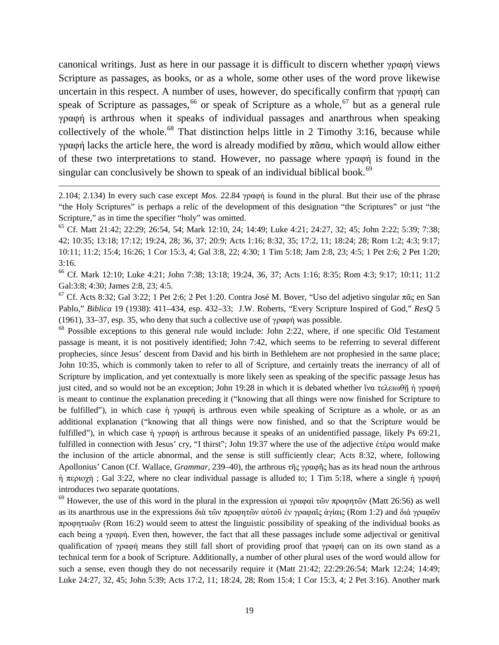canonical writings. Just as here in our passage it is difficult to discern whether γραφή views Scripture as passages, as books, or as a whole, some other uses of the word prove likewise uncertain in this respect. A number of uses, however, do specifically confirm that γραφή can speak of Scripture as passages,  $66$  or speak of Scripture as a whole,  $67$  but as a general rule γραφή is arthrous when it speaks of individual passages and anarthrous when speaking collectively of the whole.<sup>[68](#page-18-2)</sup> That distinction helps little in 2 Timothy 3:16, because while γραφή lacks the article here, the word is already modified by πᾶσα, which would allow either of these two interpretations to stand. However, no passage where γραφή is found in the singular can conclusively be shown to speak of an individual biblical book.<sup>[69](#page-18-3)</sup>

2.104; 2.134) In every such case except *Mos.* 22.84 γραφή is found in the plural. But their use of the phrase "the Holy Scriptures" is perhaps a relic of the development of this designation "the Scriptures" or just "the Scripture," as in time the specifier "holy" was omitted.

 $\overline{\phantom{a}}$ 

<sup>65</sup> Cf. Matt 21:42; 22:29; 26:54, 54; Mark 12:10, 24; 14:49; Luke 4:21; 24:27, 32; 45; John 2:22; 5:39; 7:38; 42; 10:35; 13:18; 17:12; 19:24, 28; 36, 37; 20:9; Acts 1:16; 8:32, 35; 17:2, 11; 18:24; 28; Rom 1:2; 4:3; 9:17; 10:11; 11:2; 15:4; 16:26; 1 Cor 15:3, 4; Gal 3:8, 22; 4:30; 1 Tim 5:18; Jam 2:8, 23; 4:5; 1 Pet 2:6; 2 Pet 1:20; 3:16.

<span id="page-18-0"></span><sup>66</sup> Cf. Mark 12:10; Luke 4:21; John 7:38; 13:18; 19:24, 36, 37; Acts 1:16; 8:35; Rom 4:3; 9:17; 10:11; 11:2 Gal:3:8; 4:30; James 2:8, 23; 4:5.

<span id="page-18-1"></span><sup>67</sup> Cf. Acts 8:32; Gal 3:22; 1 Pet 2:6; 2 Pet 1:20. Contra José M. Bover, "Uso del adjetivo singular πᾶς en San Pablo," *Biblica* 19 (1938): 411–434, esp. 432–33; J.W. Roberts, "Every Scripture Inspired of God," *ResQ* 5 (1961), 33–37, esp. 35, who deny that such a collective use of γραφή was possible.

<span id="page-18-2"></span><sup>68</sup> Possible exceptions to this general rule would include: John 2:22, where, if one specific Old Testament passage is meant, it is not positively identified; John 7:42, which seems to be referring to several different prophecies, since Jesus' descent from David and his birth in Bethlehem are not prophesied in the same place; John 10:35, which is commonly taken to refer to all of Scripture, and certainly treats the inerrancy of all of Scripture by implication, and yet contextually is more likely seen as speaking of the specific passage Jesus has just cited, and so would not be an exception; John 19:28 in which it is debated whether ἵνα τελειωθῇ ἡ γραφή is meant to continue the explanation preceding it ("knowing that all things were now finished for Scripture to be fulfilled"), in which case ἡ γραφή is arthrous even while speaking of Scripture as a whole, or as an additional explanation ("knowing that all things were now finished, and so that the Scripture would be fulfilled"), in which case ἡ γραφή is arthrous because it speaks of an unidentified passage, likely Ps 69:21, fulfilled in connection with Jesus' cry, "I thirst"; John 19:37 where the use of the adjective ἑτέρα would make the inclusion of the article abnormal, and the sense is still sufficiently clear; Acts 8:32, where, following Apollonius' Canon (Cf. Wallace, *Grammar*, 239–40), the arthrous τῆς γραφῆς has as its head noun the arthrous ἡ περιοχὴ ; Gal 3:22, where no clear individual passage is alluded to; 1 Tim 5:18, where a single ἡ γραφή introduces two separate quotations.

<span id="page-18-3"></span><sup>69</sup> However, the use of this word in the plural in the expression αἱ γραφαὶ τῶν προφητῶν (Matt 26:56) as well as its anarthrous use in the expressions διὰ τῶν προφητῶν αὐτοῦ ἐν γραφαῖς ἁγίαις (Rom 1:2) and διά γραφῶν προφητικῶν (Rom 16:2) would seem to attest the linguistic possibility of speaking of the individual books as each being a γραφή. Even then, however, the fact that all these passages include some adjectival or genitival qualification of γραφή means they still fall short of providing proof that γραφή can on its own stand as a technical term for a book of Scripture. Additionally, a number of other plural uses of the word would allow for such a sense, even though they do not necessarily require it (Matt 21:42; 22:29:26:54; Mark 12:24; 14:49; Luke 24:27, 32, 45; John 5:39; Acts 17:2, 11; 18:24, 28; Rom 15:4; 1 Cor 15:3, 4; 2 Pet 3:16). Another mark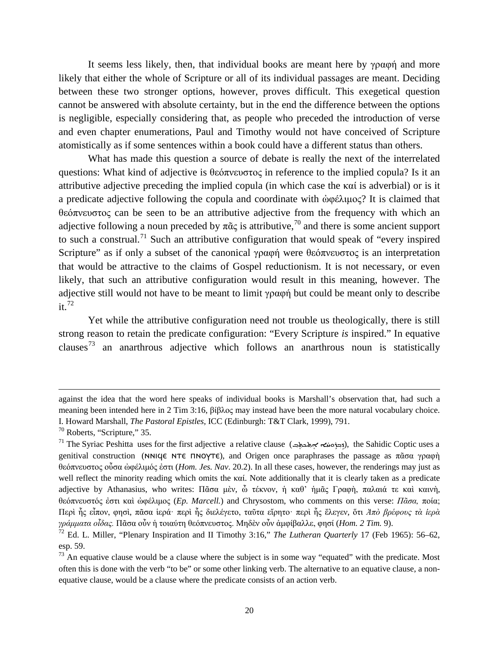It seems less likely, then, that individual books are meant here by γραφή and more likely that either the whole of Scripture or all of its individual passages are meant. Deciding between these two stronger options, however, proves difficult. This exegetical question cannot be answered with absolute certainty, but in the end the difference between the options is negligible, especially considering that, as people who preceded the introduction of verse and even chapter enumerations, Paul and Timothy would not have conceived of Scripture atomistically as if some sentences within a book could have a different status than others.

What has made this question a source of debate is really the next of the interrelated questions: What kind of adjective is θεόπνευστος in reference to the implied copula? Is it an attributive adjective preceding the implied copula (in which case the καί is adverbial) or is it a predicate adjective following the copula and coordinate with ὠφέλιμος? It is claimed that θεόπνευστος can be seen to be an attributive adjective from the frequency with which an adjective following a noun preceded by  $\pi \tilde{\alpha} \zeta$  is attributive,<sup>[70](#page-19-0)</sup> and there is some ancient support to such a construal.<sup>[71](#page-19-1)</sup> Such an attributive configuration that would speak of "every inspired Scripture" as if only a subset of the canonical γραφή were θεόπνευστος is an interpretation that would be attractive to the claims of Gospel reductionism. It is not necessary, or even likely, that such an attributive configuration would result in this meaning, however. The adjective still would not have to be meant to limit γραφή but could be meant only to describe  $it.<sup>72</sup>$  $it.<sup>72</sup>$  $it.<sup>72</sup>$ 

Yet while the attributive configuration need not trouble us theologically, there is still strong reason to retain the predicate configuration: "Every Scripture *is* inspired." In equative clauses<sup>[73](#page-19-3)</sup> an anarthrous adjective which follows an anarthrous noun is statistically

 $\overline{\phantom{a}}$ 

against the idea that the word here speaks of individual books is Marshall's observation that, had such a meaning been intended here in 2 Tim 3:16, βίβλος may instead have been the more natural vocabulary choice. I. Howard Marshall, *The Pastoral Epistles,* ICC (Edinburgh: T&T Clark, 1999), 791.

<span id="page-19-0"></span><sup>70</sup> Roberts, "Scripture," 35.

<span id="page-19-1"></span> $^{71}$  The Syriac Peshitta uses for the first adjective a relative clause (أبني ملك مجرد المردي ), the Sahidic Coptic uses a ݁genitival construction (NNICE NTE ΠΝΟΥΤΕ), and Origen once paraphrases the passage as πᾶσα γραφή θεόπνευστος οὖσα ὠφέλιμός ἐστι (*Hom. Jes. Nav*. 20.2). In all these cases, however, the renderings may just as well reflect the minority reading which omits the καί. Note additionally that it is clearly taken as a predicate adjective by Athanasius, who writes: Πᾶσα μὲν, ὦ τέκνον, ἡ καθ' ἡμᾶς Γραφὴ, παλαιά τε καὶ καινὴ, θεόπνευστός ἐστι καὶ ὠφέλιμος (*Ep. Marcell.*) and Chrysostom, who comments on this verse: *Πᾶσα,* ποία; Περὶ ἧς εἶπον, φησὶ, πᾶσα ἱερά· περὶ ἧς διελέγετο, ταῦτα εἴρητο· περὶ ἧς ἔλεγεν, ὅτι *Ἀπὸ βρέφους τὰ ἱερὰ γράμματα οἶδας.* Πᾶσα οὖν ἡ τοιαύτη θεόπνευστος. Μηδὲν οὖν ἀμφίβαλλε, φησί (*Hom. 2 Tim.* 9).

<span id="page-19-2"></span><sup>72</sup> Ed. L. Miller, "Plenary Inspiration and II Timothy 3:16," *The Lutheran Quarterly* 17 (Feb 1965): 56–62, esp. 59.

<span id="page-19-3"></span> $73$  An equative clause would be a clause where the subject is in some way "equated" with the predicate. Most often this is done with the verb "to be" or some other linking verb. The alternative to an equative clause, a nonequative clause, would be a clause where the predicate consists of an action verb.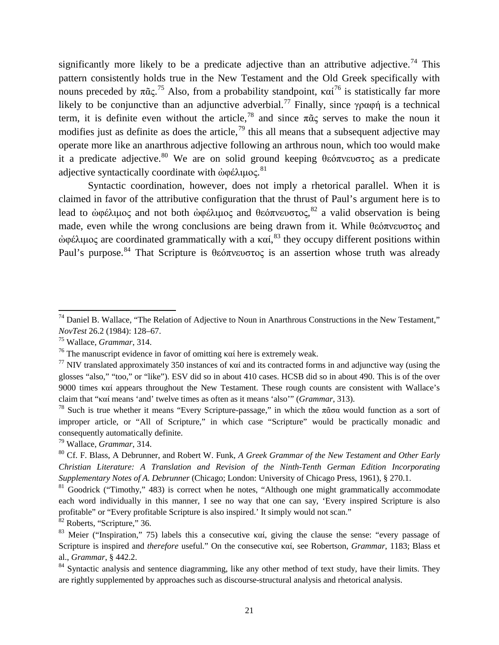significantly more likely to be a predicate adjective than an attributive adjective.<sup>[74](#page-20-0)</sup> This pattern consistently holds true in the New Testament and the Old Greek specifically with nouns preceded by  $\pi \tilde{a} \varsigma$ .<sup>[75](#page-20-1)</sup> Also, from a probability standpoint, καί<sup>[76](#page-20-2)</sup> is statistically far more likely to be conjunctive than an adjunctive adverbial.<sup>[77](#page-20-3)</sup> Finally, since γραφή is a technical term, it is definite even without the article,<sup>[78](#page-20-4)</sup> and since  $\pi \tilde{\alpha}$  serves to make the noun it modifies just as definite as does the article,  $^{79}$  $^{79}$  $^{79}$  this all means that a subsequent adjective may operate more like an anarthrous adjective following an arthrous noun, which too would make it a predicate adjective. [80](#page-20-6) We are on solid ground keeping θεόπνευστος as a predicate adjective syntactically coordinate with ἀφέλιμος.<sup>[81](#page-20-7)</sup>

Syntactic coordination, however, does not imply a rhetorical parallel. When it is claimed in favor of the attributive configuration that the thrust of Paul's argument here is to lead to ἀφέλιμος and not both ἀφέλιμος and θεόπνευστος,<sup>[82](#page-20-8)</sup> a valid observation is being made, even while the wrong conclusions are being drawn from it. While θεόπνευστος and ώφέλιμος are coordinated grammatically with a καί,<sup>[83](#page-20-9)</sup> they occupy different positions within Paul's purpose.<sup>[84](#page-20-10)</sup> That Scripture is θεόπνευστος is an assertion whose truth was already

<span id="page-20-5"></span><sup>79</sup> Wallace, *Grammar*, 314.

<span id="page-20-8"></span> $82$  Roberts, "Scripture," 36.

<span id="page-20-0"></span><sup>&</sup>lt;sup>74</sup> Daniel B. Wallace, "The Relation of Adjective to Noun in Anarthrous Constructions in the New Testament," *NovTest* 26.2 (1984): 128–67.

<span id="page-20-1"></span><sup>75</sup> Wallace, *Grammar*, 314.

<span id="page-20-2"></span><sup>&</sup>lt;sup>76</sup> The manuscript evidence in favor of omitting καί here is extremely weak.

<span id="page-20-3"></span><sup>&</sup>lt;sup>77</sup> NIV translated approximately 350 instances of καί and its contracted forms in and adjunctive way (using the glosses "also," "too," or "like"). ESV did so in about 410 cases. HCSB did so in about 490. This is of the over 9000 times καί appears throughout the New Testament. These rough counts are consistent with Wallace's claim that "καί means 'and' twelve times as often as it means 'also'" (*Grammar*, 313).

<span id="page-20-4"></span><sup>&</sup>lt;sup>78</sup> Such is true whether it means "Every Scripture-passage," in which the  $\pi \tilde{\alpha} \sigma \alpha$  would function as a sort of improper article, or "All of Scripture," in which case "Scripture" would be practically monadic and consequently automatically definite.

<span id="page-20-6"></span><sup>80</sup> Cf. F. Blass, A Debrunner, and Robert W. Funk, *A Greek Grammar of the New Testament and Other Early Christian Literature: A Translation and Revision of the Ninth-Tenth German Edition Incorporating Supplementary Notes of A. Debrunner* (Chicago; London: University of Chicago Press, 1961), § 270.1.

<span id="page-20-7"></span> $81$  Goodrick ("Timothy," 483) is correct when he notes, "Although one might grammatically accommodate each word individually in this manner, I see no way that one can say, 'Every inspired Scripture is also profitable" or "Every profitable Scripture is also inspired.' It simply would not scan."

<span id="page-20-9"></span><sup>&</sup>lt;sup>83</sup> Meier ("Inspiration," 75) labels this a consecutive καί, giving the clause the sense: "every passage of Scripture is inspired and *therefore* useful." On the consecutive καί, see Robertson, *Grammar*, 1183; Blass et al., *Grammar*, § 442.2.

<span id="page-20-10"></span><sup>&</sup>lt;sup>84</sup> Syntactic analysis and sentence diagramming, like any other method of text study, have their limits. They are rightly supplemented by approaches such as discourse-structural analysis and rhetorical analysis.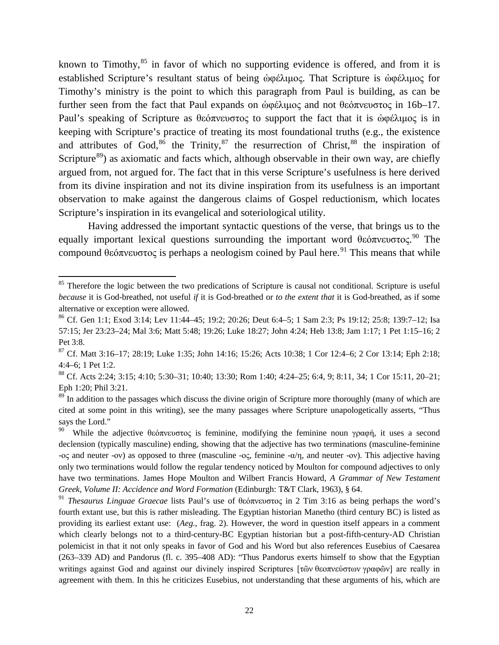known to Timothy, $85$  in favor of which no supporting evidence is offered, and from it is established Scripture's resultant status of being ώφέλιμος. That Scripture is ώφέλιμος for Timothy's ministry is the point to which this paragraph from Paul is building, as can be further seen from the fact that Paul expands on ὠφέλιμος and not θεόπνευστος in 16b–17. Paul's speaking of Scripture as θεόπνευστος to support the fact that it is ώφέλιμος is in keeping with Scripture's practice of treating its most foundational truths (e.g., the existence and attributes of God,  $86$  the Trinity,  $87$  the resurrection of Christ,  $88$  the inspiration of Scripture<sup>[89](#page-21-4)</sup>) as axiomatic and facts which, although observable in their own way, are chiefly argued from, not argued for. The fact that in this verse Scripture's usefulness is here derived from its divine inspiration and not its divine inspiration from its usefulness is an important observation to make against the dangerous claims of Gospel reductionism, which locates Scripture's inspiration in its evangelical and soteriological utility.

Having addressed the important syntactic questions of the verse, that brings us to the equally important lexical questions surrounding the important word θεόπνευστος.<sup>[90](#page-21-5)</sup> The compound θεόπνευστος is perhaps a neologism coined by Paul here.<sup>[91](#page-21-6)</sup> This means that while

<span id="page-21-0"></span><sup>&</sup>lt;sup>85</sup> Therefore the logic between the two predications of Scripture is causal not conditional. Scripture is useful *because* it is God-breathed, not useful *if* it is God-breathed or *to the extent that* it is God-breathed, as if some alternative or exception were allowed.

<span id="page-21-1"></span><sup>86</sup> Cf. Gen 1:1; Exod 3:14; Lev 11:44–45; 19:2; 20:26; Deut 6:4–5; 1 Sam 2:3; Ps 19:12; 25:8; 139:7–12; Isa 57:15; Jer 23:23–24; Mal 3:6; Matt 5:48; 19:26; Luke 18:27; John 4:24; Heb 13:8; Jam 1:17; 1 Pet 1:15–16; 2 Pet  $3.8$ 

<span id="page-21-2"></span><sup>87</sup> Cf. Matt 3:16–17; 28:19; Luke 1:35; John 14:16; 15:26; Acts 10:38; 1 Cor 12:4–6; 2 Cor 13:14; Eph 2:18; 4:4–6; 1 Pet 1:2.

<span id="page-21-3"></span><sup>88</sup> Cf. Acts 2:24; 3:15; 4:10; 5:30–31; 10:40; 13:30; Rom 1:40; 4:24–25; 6:4, 9; 8:11, 34; 1 Cor 15:11, 20–21; Eph 1:20; Phil 3:21.

<span id="page-21-4"></span><sup>&</sup>lt;sup>89</sup> In addition to the passages which discuss the divine origin of Scripture more thoroughly (many of which are cited at some point in this writing), see the many passages where Scripture unapologetically asserts, "Thus says the Lord."

<span id="page-21-5"></span>While the adjective θεόπνευστος is feminine, modifying the feminine noun γραφή, it uses a second declension (typically masculine) ending, showing that the adjective has two terminations (masculine-feminine -ος and neuter -ον) as opposed to three (masculine -ος, feminine -α/η, and neuter -ον). This adjective having only two terminations would follow the regular tendency noticed by Moulton for compound adjectives to only have two terminations. James Hope Moulton and Wilbert Francis Howard, *A Grammar of New Testament Greek, Volume II: Accidence and Word Formation* (Edinburgh: T&T Clark, 1963), § 64.

<span id="page-21-6"></span><sup>91</sup> *Thesaurus Linguae Graecae* lists Paul's use of θεόπνευστος in 2 Tim 3:16 as being perhaps the word's fourth extant use, but this is rather misleading. The Egyptian historian Manetho (third century BC) is listed as providing its earliest extant use: (*Aeg.,* frag. 2). However, the word in question itself appears in a comment which clearly belongs not to a third-century-BC Egyptian historian but a post-fifth-century-AD Christian polemicist in that it not only speaks in favor of God and his Word but also references Eusebius of Caesarea (263–339 AD) and Pandorus (fl. c. 395–408 AD): "Thus Pandorus exerts himself to show that the Egyptian writings against God and against our divinely inspired Scriptures [τῶν θεοπνεύστων γραφῶν] are really in agreement with them. In this he criticizes Eusebius, not understanding that these arguments of his, which are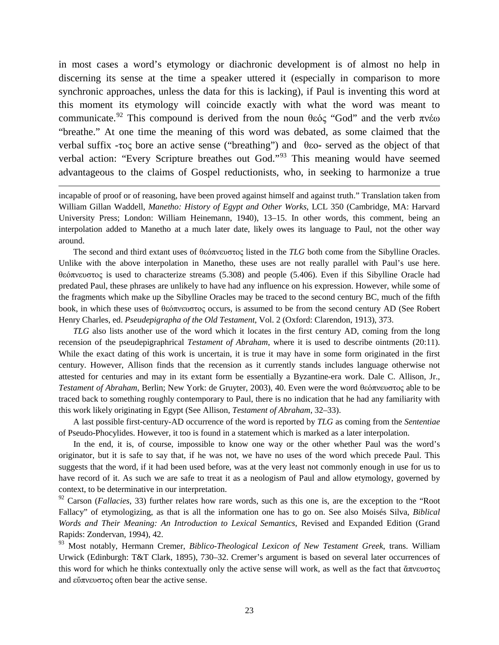in most cases a word's etymology or diachronic development is of almost no help in discerning its sense at the time a speaker uttered it (especially in comparison to more synchronic approaches, unless the data for this is lacking), if Paul is inventing this word at this moment its etymology will coincide exactly with what the word was meant to communicate.<sup>[92](#page-22-0)</sup> This compound is derived from the noun θεός "God" and the verb πνέω "breathe." At one time the meaning of this word was debated, as some claimed that the verbal suffix -τος bore an active sense ("breathing") and θεο**-** served as the object of that verbal action: "Every Scripture breathes out God."[93](#page-22-1) This meaning would have seemed advantageous to the claims of Gospel reductionists, who, in seeking to harmonize a true

incapable of proof or of reasoning, have been proved against himself and against truth." Translation taken from William Gillan Waddell, *Manetho: History of Egypt and Other Works*, LCL 350 (Cambridge, MA: Harvard University Press; London: William Heinemann, 1940), 13–15. In other words, this comment, being an interpolation added to Manetho at a much later date, likely owes its language to Paul, not the other way around.

 $\overline{\phantom{a}}$ 

The second and third extant uses of θεόπνευστος listed in the *TLG* both come from the Sibylline Oracles. Unlike with the above interpolation in Manetho, these uses are not really parallel with Paul's use here. θεόπνευστος is used to characterize streams (5.308) and people (5.406). Even if this Sibylline Oracle had predated Paul, these phrases are unlikely to have had any influence on his expression. However, while some of the fragments which make up the Sibylline Oracles may be traced to the second century BC, much of the fifth book, in which these uses of θεόπνευστος occurs, is assumed to be from the second century AD (See Robert Henry Charles, ed. *Pseudepigrapha of the Old Testament*, Vol. 2 (Oxford: Clarendon, 1913), 373.

*TLG* also lists another use of the word which it locates in the first century AD, coming from the long recension of the pseudepigraphrical *Testament of Abraham*, where it is used to describe ointments (20:11). While the exact dating of this work is uncertain, it is true it may have in some form originated in the first century. However, Allison finds that the recension as it currently stands includes language otherwise not attested for centuries and may in its extant form be essentially a Byzantine-era work. Dale C. Allison, Jr., *Testament of Abraham*, Berlin; New York: de Gruyter, 2003), 40. Even were the word θεόπνευστος able to be traced back to something roughly contemporary to Paul, there is no indication that he had any familiarity with this work likely originating in Egypt (See Allison, *Testament of Abraham*, 32–33).

A last possible first-century-AD occurrence of the word is reported by *TLG* as coming from the *Sententiae*  of Pseudo-Phocylides. However, it too is found in a statement which is marked as a later interpolation.

In the end, it is, of course, impossible to know one way or the other whether Paul was the word's originator, but it is safe to say that, if he was not, we have no uses of the word which precede Paul. This suggests that the word, if it had been used before, was at the very least not commonly enough in use for us to have record of it. As such we are safe to treat it as a neologism of Paul and allow etymology, governed by context, to be determinative in our interpretation.

<span id="page-22-0"></span><sup>92</sup> Carson (*Fallacies*, 33) further relates how rare words, such as this one is, are the exception to the "Root Fallacy" of etymologizing, as that is all the information one has to go on. See also Moisés Silva, *Biblical Words and Their Meaning: An Introduction to Lexical Semantics*, Revised and Expanded Edition (Grand Rapids: Zondervan, 1994), 42.

<span id="page-22-1"></span><sup>93</sup> Most notably, Hermann Cremer, *Biblico-Theological Lexicon of New Testament Greek*, trans. William Urwick (Edinburgh: T&T Clark, 1895), 730–32. Cremer's argument is based on several later occurrences of this word for which he thinks contextually only the active sense will work, as well as the fact that ἄπνευστος and εὔπνευστος often bear the active sense.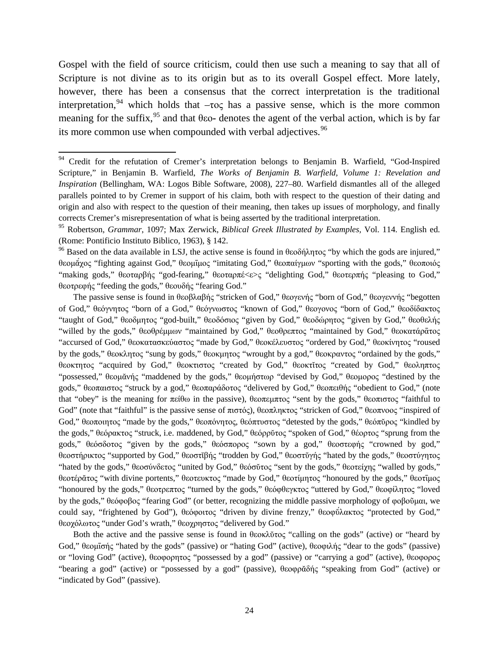Gospel with the field of source criticism, could then use such a meaning to say that all of Scripture is not divine as to its origin but as to its overall Gospel effect. More lately, however, there has been a consensus that the correct interpretation is the traditional interpretation,<sup>[94](#page-23-0)</sup> which holds that  $-\tau$ oς has a passive sense, which is the more common meaning for the suffix,[95](#page-23-1) and that θεο**-** denotes the agent of the verbal action, which is by far its more common use when compounded with verbal adjectives.<sup>[96](#page-23-2)</sup>

The passive sense is found in θεοβλαβής "stricken of God," θεογενής "born of God," θεογεννής "begotten of God," θεόγνητος "born of a God," θεόγνωστος "known of God," θεογονος "born of God," θεοδίδακτος "taught of God," θεοδμητος "god-built," θεοδόσιος "given by God," θεοδώρητος "given by God," θεοθελής "willed by the gods," θεοθρέμμων "maintained by God," θεοθρεπτος "maintained by God," θεοκατάρατος "accursed of God," θεοκατασκεύαστος "made by God," θεοκέλευστος "ordered by God," θεοκίνητος "roused by the gods," θεοκλητος "sung by gods," θεοκμητος "wrought by a god," θεοκραντος "ordained by the gods," θεοκτητος "acquired by God," θεοκτιστος "created by God," θεοκτίτος "created by God," θεοληπτος "possessed," θεομᾰνής "maddened by the gods," θεομήστωρ "devised by God," θεομορος "destined by the gods," θεοπαιστος "struck by a god," θεοπαράδοτος "delivered by God," θεοπειθής "obedient to God," (note that "obey" is the meaning for πείθω in the passive), θεοπεμπτος "sent by the gods," θεοπιστος "faithful to God" (note that "faithful" is the passive sense of πιστός), θεοπληκτος "stricken of God," θεοπνοος "inspired of God," θεοποιητος "made by the gods," θεοπόνητος, θεόπτυστος "detested by the gods," θεόπῦρος "kindled by the gods," θεόρακτος "struck, i.e. maddened, by God," θεόρρῦτος "spoken of God," θέορτος "sprung from the gods," θεόσδοτος "given by the gods," θεόσπορος "sown by a god," θεοστεφής "crowned by god," θεοστήρικτος "supported by God," θεοστίβής "trodden by God," θεοστύγής "hated by the gods," θεοστύγητος "hated by the gods," θεοσύνδετος "united by God," θεόσῦτος "sent by the gods," θεοτείχης "walled by gods," θεοτέρἄτος "with divine portents," θεοτευκτος "made by God," θεοτίμητος "honoured by the gods," θεοτίμος "honoured by the gods," θεοτρεπτος "turned by the gods," θεόφθεγκτος "uttered by God," θεοφίλητος "loved by the gods," θεόφοβος "fearing God" (or better, recognizing the middle passive morphology of φοβοῦμαι, we could say, "frightened by God"), θεόφοιτος "driven by divine frenzy," θεοφύλακτος "protected by God," θεοχόλωτος "under God's wrath," θεοχρηστος "delivered by God."

Both the active and the passive sense is found in θεοκλύτος "calling on the gods" (active) or "heard by God," θεομῖσής "hated by the gods" (passive) or "hating God" (active), θεοφιλής "dear to the gods" (passive) or "loving God" (active), θεοφορητος "possessed by a god" (passive) or "carrying a god" (active), θεοφορος "bearing a god" (active) or "possessed by a god" (passive), θεοφρᾰδής "speaking from God" (active) or "indicated by God" (passive).

<span id="page-23-0"></span><sup>&</sup>lt;sup>94</sup> Credit for the refutation of Cremer's interpretation belongs to Benjamin B. Warfield, "God-Inspired Scripture," in Benjamin B. Warfield, *The Works of Benjamin B. Warfield, Volume 1: Revelation and Inspiration* (Bellingham, WA: Logos Bible Software, 2008), 227–80. Warfield dismantles all of the alleged parallels pointed to by Cremer in support of his claim, both with respect to the question of their dating and origin and also with respect to the question of their meaning, then takes up issues of morphology, and finally corrects Cremer's misrepresentation of what is being asserted by the traditional interpretation.

<span id="page-23-1"></span><sup>95</sup> Robertson, *Grammar*, 1097; Max Zerwick, *Biblical Greek Illustrated by Examples,* Vol. 114. English ed. (Rome: Pontificio Instituto Biblico, 1963), § 142.

<span id="page-23-2"></span><sup>&</sup>lt;sup>96</sup> Based on the data available in LSJ, the active sense is found in θεοδήλητος "by which the gods are injured," θεομάχος "fighting against God," θεομιμος "imitating God," θεοπαίγμων "sporting with the gods," θεοποιός "making gods," θεοταρβής "god-fearing," θεοταρπέ<ε>ς "delighting God," θεοτερπής "pleasing to God," θεοτρεφής "feeding the gods," θεουδής "fearing God."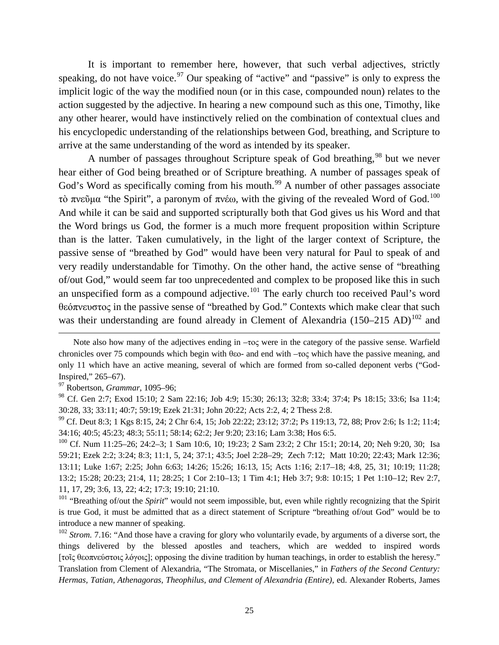It is important to remember here, however, that such verbal adjectives, strictly speaking, do not have voice.<sup>[97](#page-24-0)</sup> Our speaking of "active" and "passive" is only to express the implicit logic of the way the modified noun (or in this case, compounded noun) relates to the action suggested by the adjective. In hearing a new compound such as this one, Timothy, like any other hearer, would have instinctively relied on the combination of contextual clues and his encyclopedic understanding of the relationships between God, breathing, and Scripture to arrive at the same understanding of the word as intended by its speaker.

A number of passages throughout Scripture speak of God breathing,  $98$  but we never hear either of God being breathed or of Scripture breathing. A number of passages speak of God's Word as specifically coming from his mouth.<sup>[99](#page-24-2)</sup> A number of other passages associate τὸ πνεῦμα "the Spirit", a paronym of πνέω, with the giving of the revealed Word of God.<sup>[100](#page-24-3)</sup> And while it can be said and supported scripturally both that God gives us his Word and that the Word brings us God, the former is a much more frequent proposition within Scripture than is the latter. Taken cumulatively, in the light of the larger context of Scripture, the passive sense of "breathed by God" would have been very natural for Paul to speak of and very readily understandable for Timothy. On the other hand, the active sense of "breathing of/out God," would seem far too unprecedented and complex to be proposed like this in such an unspecified form as a compound adjective.<sup>[101](#page-24-4)</sup> The early church too received Paul's word θεόπνευστος in the passive sense of "breathed by God." Contexts which make clear that such was their understanding are found already in Clement of Alexandria (150–215 AD)<sup>[102](#page-24-5)</sup> and

l

Note also how many of the adjectives ending in –τος were in the category of the passive sense. Warfield chronicles over 75 compounds which begin with θεο- and end with –τος which have the passive meaning, and only 11 which have an active meaning, several of which are formed from so-called deponent verbs ("God-Inspired," 265–67).

<span id="page-24-0"></span><sup>97</sup> Robertson, *Grammar*, 1095–96;

<span id="page-24-1"></span><sup>98</sup> Cf. Gen 2:7; Exod 15:10; 2 Sam 22:16; Job 4:9; 15:30; 26:13; 32:8; 33:4; 37:4; Ps 18:15; 33:6; Isa 11:4; 30:28, 33; 33:11; 40:7; 59:19; Ezek 21:31; John 20:22; Acts 2:2, 4; 2 Thess 2:8.

<span id="page-24-2"></span> $^{99}$  Cf. Deut 8:3; 1 Kgs 8:15, 24; 2 Chr 6:4, 15; Job 22:22; 23:12; 37:2; Ps 119:13, 72, 88; Prov 2:6; Is 1:2; 11:4; 34:16; 40:5; 45:23; 48:3; 55:11; 58:14; 62:2; Jer 9:20; 23:16; Lam 3:38; Hos 6:5.

<span id="page-24-3"></span><sup>&</sup>lt;sup>100</sup> Cf. Num 11:25–26; 24:2–3; 1 Sam 10:6, 10; 19:23; 2 Sam 23:2; 2 Chr 15:1; 20:14, 20; Neh 9:20, 30; Isa 59:21; Ezek 2:2; 3:24; 8:3; 11:1, 5, 24; 37:1; 43:5; Joel 2:28–29; Zech 7:12; Matt 10:20; 22:43; Mark 12:36; 13:11; Luke 1:67; 2:25; John 6:63; 14:26; 15:26; 16:13, 15; Acts 1:16; 2:17–18; 4:8, 25, 31; 10:19; 11:28; 13:2; 15:28; 20:23; 21:4, 11; 28:25; 1 Cor 2:10–13; 1 Tim 4:1; Heb 3:7; 9:8: 10:15; 1 Pet 1:10–12; Rev 2:7, 11, 17, 29; 3:6, 13, 22; 4:2; 17:3; 19:10; 21:10.

<span id="page-24-4"></span><sup>&</sup>lt;sup>101</sup> "Breathing of/out the *Spirit*" would not seem impossible, but, even while rightly recognizing that the Spirit is true God, it must be admitted that as a direct statement of Scripture "breathing of/out God" would be to introduce a new manner of speaking.

<span id="page-24-5"></span><sup>&</sup>lt;sup>102</sup> *Strom.* 7.16: "And those have a craving for glory who voluntarily evade, by arguments of a diverse sort, the things delivered by the blessed apostles and teachers, which are wedded to inspired words [τοῖς θεοπνεύστοις λόγοις]; opposing the divine tradition by human teachings, in order to establish the heresy." Translation from Clement of Alexandria, "The Stromata, or Miscellanies," in *Fathers of the Second Century: Hermas, Tatian, Athenagoras, Theophilus, and Clement of Alexandria (Entire)*, ed. Alexander Roberts, James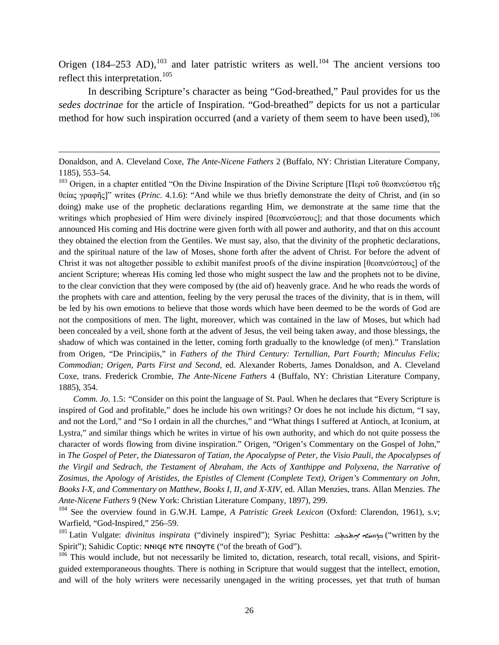Origen  $(184–253$  AD),<sup>[103](#page-25-0)</sup> and later patristic writers as well.<sup>[104](#page-25-1)</sup> The ancient versions too reflect this interpretation.<sup>[105](#page-25-2)</sup>

In describing Scripture's character as being "God-breathed," Paul provides for us the *sedes doctrinae* for the article of Inspiration. "God-breathed" depicts for us not a particular method for how such inspiration occurred (and a variety of them seem to have been used),  $106$ 

l

Donaldson, and A. Cleveland Coxe, *The Ante-Nicene Fathers* 2 (Buffalo, NY: Christian Literature Company, 1185), 553–54.

<span id="page-25-0"></span><sup>&</sup>lt;sup>103</sup> Origen, in a chapter entitled "On the Divine Inspiration of the Divine Scripture [Περὶ τοῦ θεοπνεύστου τῆς θείας γραφῆς]" writes (*Princ.* 4.1.6): "And while we thus briefly demonstrate the deity of Christ, and (in so doing) make use of the prophetic declarations regarding Him, we demonstrate at the same time that the writings which prophesied of Him were divinely inspired [θεοπνεύστους]; and that those documents which announced His coming and His doctrine were given forth with all power and authority, and that on this account they obtained the election from the Gentiles. We must say, also, that the divinity of the prophetic declarations, and the spiritual nature of the law of Moses, shone forth after the advent of Christ. For before the advent of Christ it was not altogether possible to exhibit manifest proofs of the divine inspiration [θεοπνεύστους] of the ancient Scripture; whereas His coming led those who might suspect the law and the prophets not to be divine, to the clear conviction that they were composed by (the aid of) heavenly grace. And he who reads the words of the prophets with care and attention, feeling by the very perusal the traces of the divinity, that is in them, will be led by his own emotions to believe that those words which have been deemed to be the words of God are not the compositions of men. The light, moreover, which was contained in the law of Moses, but which had been concealed by a veil, shone forth at the advent of Jesus, the veil being taken away, and those blessings, the shadow of which was contained in the letter, coming forth gradually to the knowledge (of men)." Translation from Origen, "De Principiis," in *Fathers of the Third Century: Tertullian, Part Fourth; Minculus Felix; Commodian; Origen, Parts First and Second*, ed. Alexander Roberts, James Donaldson, and A. Cleveland Coxe, trans. Frederick Crombie, *The Ante-Nicene Fathers* 4 (Buffalo, NY: Christian Literature Company, 1885), 354.

*Comm. Jo.* 1.5: *"*Consider on this point the language of St. Paul. When he declares that "Every Scripture is inspired of God and profitable," does he include his own writings? Or does he not include his dictum, "I say, and not the Lord," and "So I ordain in all the churches," and "What things I suffered at Antioch, at Iconium, at Lystra," and similar things which he writes in virtue of his own authority, and which do not quite possess the character of words flowing from divine inspiration." Origen, "Origen's Commentary on the Gospel of John," in *The Gospel of Peter, the Diatessaron of Tatian, the Apocalypse of Peter, the Visio Pauli, the Apocalypses of the Virgil and Sedrach, the Testament of Abraham, the Acts of Xanthippe and Polyxena, the Narrative of Zosimus, the Apology of Aristides, the Epistles of Clement (Complete Text), Origen's Commentary on John, Books I-X, and Commentary on Matthew, Books I, II, and X-XIV*, ed. Allan Menzies, trans. Allan Menzies. *The Ante-Nicene Fathers* 9 (New York: Christian Literature Company, 1897), 299.

<span id="page-25-1"></span><sup>104</sup> See the overview found in G.W.H. Lampe, *A Patristic Greek Lexicon* (Oxford: Clarendon, 1961), s.v; Warfield, "God-Inspired," 256–59.

<span id="page-25-2"></span><sup>&</sup>lt;sup>105</sup> Latin Vulgate: *divinitus inspirata* ("divinely inspired"); Syriac Peshitta: ﺧﻮﻫܝಗ<del>ﻰ ﺍﻫ</del>ﺪﻳﻬﺪﺕ ("written by the Spirit"); Sahidic Coptic: NNICE NTE ΠΝΟΥΤΕ ("of the breath of God").

<span id="page-25-3"></span> $106$  This would include, but not necessarily be limited to, dictation, research, total recall, visions, and Spiritguided extemporaneous thoughts. There is nothing in Scripture that would suggest that the intellect, emotion, and will of the holy writers were necessarily unengaged in the writing processes, yet that truth of human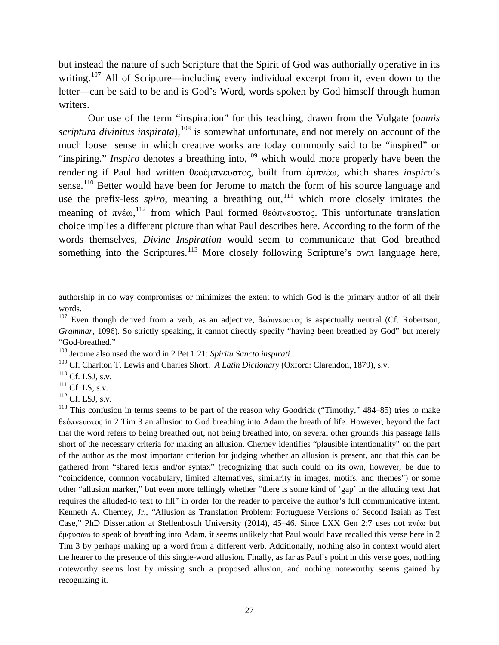but instead the nature of such Scripture that the Spirit of God was authorially operative in its writing.<sup>[107](#page-26-0)</sup> All of Scripture—including every individual excerpt from it, even down to the letter—can be said to be and is God's Word, words spoken by God himself through human writers.

Our use of the term "inspiration" for this teaching, drawn from the Vulgate (*omnis scriptura divinitus inspirata*), <sup>[108](#page-26-1)</sup> is somewhat unfortunate, and not merely on account of the much looser sense in which creative works are today commonly said to be "inspired" or "inspiring." *Inspiro* denotes a breathing into,<sup>[109](#page-26-2)</sup> which would more properly have been the rendering if Paul had written θεοέμπνευστος, built from ἐμπνέω, which shares *inspiro*'s sense.<sup>[110](#page-26-3)</sup> Better would have been for Jerome to match the form of his source language and use the prefix-less *spiro*, meaning a breathing out,<sup>[111](#page-26-4)</sup> which more closely imitates the meaning of  $\pi v \epsilon \omega$ , <sup>[112](#page-26-5)</sup> from which Paul formed θεόπνευστος. This unfortunate translation choice implies a different picture than what Paul describes here. According to the form of the words themselves, *Divine Inspiration* would seem to communicate that God breathed something into the Scriptures.<sup>[113](#page-26-6)</sup> More closely following Scripture's own language here,

 $\overline{a}$ 

authorship in no way compromises or minimizes the extent to which God is the primary author of all their words.

<span id="page-26-0"></span><sup>&</sup>lt;sup>107</sup> Even though derived from a verb, as an adjective, θεόπνευστος is aspectually neutral (Cf. Robertson, *Grammar*, 1096). So strictly speaking, it cannot directly specify "having been breathed by God" but merely "God-breathed."

<span id="page-26-1"></span><sup>108</sup> Jerome also used the word in 2 Pet 1:21: *Spiritu Sancto inspirati*.

<span id="page-26-2"></span><sup>109</sup> Cf. Charlton T. Lewis and Charles Short, *A Latin Dictionary* (Oxford: Clarendon, 1879), s.v.

<span id="page-26-3"></span> $110$  Cf. LSJ, s.v.

<span id="page-26-4"></span> $111$  Cf. LS, s.v.

<span id="page-26-5"></span> $^{112}$  Cf. LSJ, s.v.

<span id="page-26-6"></span><sup>&</sup>lt;sup>113</sup> This confusion in terms seems to be part of the reason why Goodrick ("Timothy,"  $484-85$ ) tries to make θεόπνευστος in 2 Tim 3 an allusion to God breathing into Adam the breath of life. However, beyond the fact that the word refers to being breathed out, not being breathed into, on several other grounds this passage falls short of the necessary criteria for making an allusion. Cherney identifies "plausible intentionality" on the part of the author as the most important criterion for judging whether an allusion is present, and that this can be gathered from "shared lexis and/or syntax" (recognizing that such could on its own, however, be due to "coincidence, common vocabulary, limited alternatives, similarity in images, motifs, and themes") or some other "allusion marker," but even more tellingly whether "there is some kind of 'gap' in the alluding text that requires the alluded-to text to fill" in order for the reader to perceive the author's full communicative intent. Kenneth A. Cherney, Jr., "Allusion as Translation Problem: Portuguese Versions of Second Isaiah as Test Case," PhD Dissertation at Stellenbosch University (2014), 45–46. Since LXX Gen 2:7 uses not πνέω but ἐμφυσάω to speak of breathing into Adam, it seems unlikely that Paul would have recalled this verse here in 2 Tim 3 by perhaps making up a word from a different verb. Additionally, nothing also in context would alert the hearer to the presence of this single-word allusion. Finally, as far as Paul's point in this verse goes, nothing noteworthy seems lost by missing such a proposed allusion, and nothing noteworthy seems gained by recognizing it.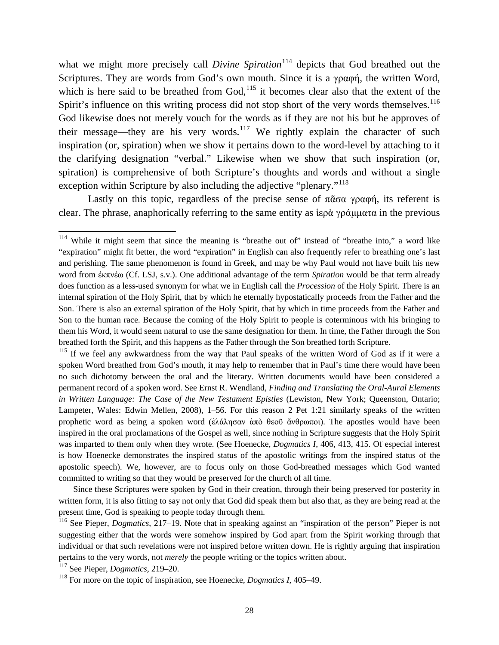what we might more precisely call *Divine Spiration*<sup>[114](#page-27-0)</sup> depicts that God breathed out the Scriptures. They are words from God's own mouth. Since it is a γραφή, the written Word, which is here said to be breathed from  $God<sub>115</sub>$  $God<sub>115</sub>$  $God<sub>115</sub>$  it becomes clear also that the extent of the Spirit's influence on this writing process did not stop short of the very words themselves.<sup>[116](#page-27-2)</sup> God likewise does not merely vouch for the words as if they are not his but he approves of their message—they are his very words.<sup>[117](#page-27-3)</sup> We rightly explain the character of such inspiration (or, spiration) when we show it pertains down to the word-level by attaching to it the clarifying designation "verbal." Likewise when we show that such inspiration (or, spiration) is comprehensive of both Scripture's thoughts and words and without a single exception within Scripture by also including the adjective "plenary."<sup>[118](#page-27-4)</sup>

Lastly on this topic, regardless of the precise sense of  $\pi\tilde{\alpha}\sigma\alpha$  γραφή, its referent is clear. The phrase, anaphorically referring to the same entity as ἱερὰ γράμματα in the previous

Since these Scriptures were spoken by God in their creation, through their being preserved for posterity in written form, it is also fitting to say not only that God did speak them but also that, as they are being read at the present time, God is speaking to people today through them.

<span id="page-27-3"></span><sup>117</sup> See Pieper, *Dogmatics*, 219–20.

<span id="page-27-0"></span><sup>&</sup>lt;sup>114</sup> While it might seem that since the meaning is "breathe out of" instead of "breathe into," a word like "expiration" might fit better, the word "expiration" in English can also frequently refer to breathing one's last and perishing. The same phenomenon is found in Greek, and may be why Paul would not have built his new word from ἐκπνέω (Cf. LSJ, s.v.). One additional advantage of the term *Spiration* would be that term already does function as a less-used synonym for what we in English call the *Procession* of the Holy Spirit. There is an internal spiration of the Holy Spirit, that by which he eternally hypostatically proceeds from the Father and the Son. There is also an external spiration of the Holy Spirit, that by which in time proceeds from the Father and Son to the human race. Because the coming of the Holy Spirit to people is coterminous with his bringing to them his Word, it would seem natural to use the same designation for them. In time, the Father through the Son breathed forth the Spirit, and this happens as the Father through the Son breathed forth Scripture.

<span id="page-27-1"></span><sup>&</sup>lt;sup>115</sup> If we feel any awkwardness from the way that Paul speaks of the written Word of God as if it were a spoken Word breathed from God's mouth, it may help to remember that in Paul's time there would have been no such dichotomy between the oral and the literary. Written documents would have been considered a permanent record of a spoken word. See Ernst R. Wendland, *Finding and Translating the Oral-Aural Elements*  in Written Language: The Case of the New Testament Epistles (Lewiston, New York; Queenston, Ontario; Lampeter, Wales: Edwin Mellen, 2008), 1–56. For this reason 2 Pet 1:21 similarly speaks of the written prophetic word as being a spoken word (ἐλάλησαν ἀπὸ θεοῦ ἄνθρωποι). The apostles would have been inspired in the oral proclamations of the Gospel as well, since nothing in Scripture suggests that the Holy Spirit was imparted to them only when they wrote. (See Hoenecke, *Dogmatics I*, 406, 413, 415. Of especial interest is how Hoenecke demonstrates the inspired status of the apostolic writings from the inspired status of the apostolic speech). We, however, are to focus only on those God-breathed messages which God wanted committed to writing so that they would be preserved for the church of all time.

<span id="page-27-2"></span><sup>116</sup> See Pieper, *Dogmatics*, 217–19. Note that in speaking against an "inspiration of the person" Pieper is not suggesting either that the words were somehow inspired by God apart from the Spirit working through that individual or that such revelations were not inspired before written down. He is rightly arguing that inspiration pertains to the very words, not *merely* the people writing or the topics written about.

<span id="page-27-4"></span><sup>118</sup> For more on the topic of inspiration, see Hoenecke, *Dogmatics I*, 405–49.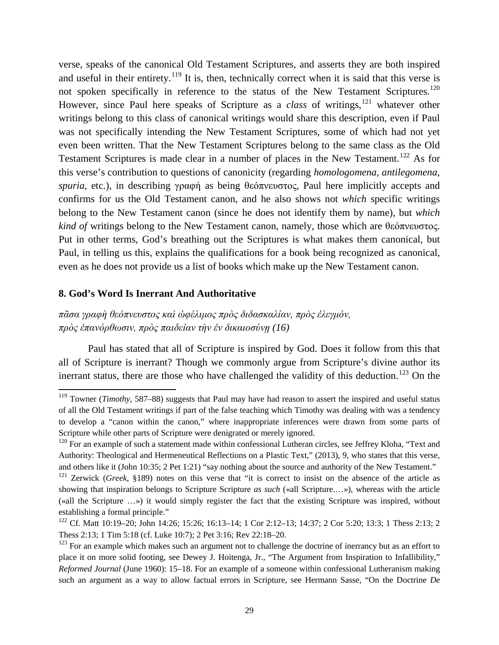verse, speaks of the canonical Old Testament Scriptures, and asserts they are both inspired and useful in their entirety.<sup>[119](#page-28-0)</sup> It is, then, technically correct when it is said that this verse is not spoken specifically in reference to the status of the New Testament Scriptures.<sup>[120](#page-28-1)</sup> However, since Paul here speaks of Scripture as a *class* of writings,<sup>[121](#page-28-2)</sup> whatever other writings belong to this class of canonical writings would share this description, even if Paul was not specifically intending the New Testament Scriptures, some of which had not yet even been written. That the New Testament Scriptures belong to the same class as the Old Testament Scriptures is made clear in a number of places in the New Testament.<sup>[122](#page-28-3)</sup> As for this verse's contribution to questions of canonicity (regarding *homologomena*, *antilegomena*, *spuria*, etc.), in describing γραφή as being θεόπνευστος, Paul here implicitly accepts and confirms for us the Old Testament canon, and he also shows not *which* specific writings belong to the New Testament canon (since he does not identify them by name), but *which kind of* writings belong to the New Testament canon, namely, those which are θεόπνευστος. Put in other terms, God's breathing out the Scriptures is what makes them canonical, but Paul, in telling us this, explains the qualifications for a book being recognized as canonical, even as he does not provide us a list of books which make up the New Testament canon.

#### **8. God's Word Is Inerrant And Authoritative**

*πᾶσα γραφὴ θεόπνευστος καὶ ὠφέλιμος πρὸς διδασκαλίαν, πρὸς ἐλεγμόν, πρὸς ἐπανόρθωσιν, πρὸς παιδείαν τὴν ἐν δικαιοσύνῃ (16)*

Paul has stated that all of Scripture is inspired by God. Does it follow from this that all of Scripture is inerrant? Though we commonly argue from Scripture's divine author its inerrant status, there are those who have challenged the validity of this deduction.<sup>[123](#page-28-4)</sup> On the

<span id="page-28-0"></span><sup>&</sup>lt;sup>119</sup> Towner (*Timothy*, 587–88) suggests that Paul may have had reason to assert the inspired and useful status of all the Old Testament writings if part of the false teaching which Timothy was dealing with was a tendency to develop a "canon within the canon," where inappropriate inferences were drawn from some parts of Scripture while other parts of Scripture were denigrated or merely ignored.

<span id="page-28-1"></span><sup>&</sup>lt;sup>120</sup> For an example of such a statement made within confessional Lutheran circles, see Jeffrey Kloha, "Text and Authority: Theological and Hermeneutical Reflections on a Plastic Text," (2013), 9, who states that this verse, and others like it (John 10:35; 2 Pet 1:21) "say nothing about the source and authority of the New Testament."

<span id="page-28-2"></span><sup>121</sup> Zerwick (*Greek*, §189) notes on this verse that "it is correct to insist on the absence of the article as showing that inspiration belongs to Scripture Scripture *as such* («all Scripture....»), whereas with the article («all the Scripture …») it would simply register the fact that the existing Scripture was inspired, without establishing a formal principle."

<span id="page-28-3"></span><sup>&</sup>lt;sup>122</sup> Cf. Matt 10:19–20; John 14:26; 15:26; 16:13–14; 1 Cor 2:12–13; 14:37; 2 Cor 5:20; 13:3; 1 Thess 2:13; 2 Thess 2:13; 1 Tim 5:18 (cf. Luke 10:7); 2 Pet 3:16; Rev 22:18–20.

<span id="page-28-4"></span><sup>&</sup>lt;sup>123</sup> For an example which makes such an argument not to challenge the doctrine of inerrancy but as an effort to place it on more solid footing, see Dewey J. Hoitenga, Jr., "The Argument from Inspiration to Infallibility," *Reformed Journal* (June 1960): 15–18. For an example of a someone within confessional Lutheranism making such an argument as a way to allow factual errors in Scripture, see Hermann Sasse, "On the Doctrine *De*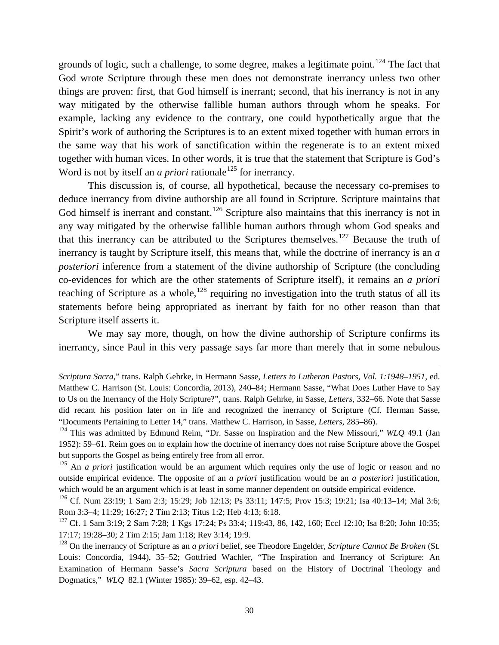grounds of logic, such a challenge, to some degree, makes a legitimate point.<sup>[124](#page-29-0)</sup> The fact that God wrote Scripture through these men does not demonstrate inerrancy unless two other things are proven: first, that God himself is inerrant; second, that his inerrancy is not in any way mitigated by the otherwise fallible human authors through whom he speaks. For example, lacking any evidence to the contrary, one could hypothetically argue that the Spirit's work of authoring the Scriptures is to an extent mixed together with human errors in the same way that his work of sanctification within the regenerate is to an extent mixed together with human vices. In other words, it is true that the statement that Scripture is God's Word is not by itself an *a priori* rationale<sup>[125](#page-29-1)</sup> for inerrancy.

This discussion is, of course, all hypothetical, because the necessary co-premises to deduce inerrancy from divine authorship are all found in Scripture. Scripture maintains that God himself is inerrant and constant.<sup>[126](#page-29-2)</sup> Scripture also maintains that this inerrancy is not in any way mitigated by the otherwise fallible human authors through whom God speaks and that this inerrancy can be attributed to the Scriptures themselves.<sup>[127](#page-29-3)</sup> Because the truth of inerrancy is taught by Scripture itself, this means that, while the doctrine of inerrancy is an *a posteriori* inference from a statement of the divine authorship of Scripture (the concluding co-evidences for which are the other statements of Scripture itself), it remains an *a priori*  teaching of Scripture as a whole, <sup>[128](#page-29-4)</sup> requiring no investigation into the truth status of all its statements before being appropriated as inerrant by faith for no other reason than that Scripture itself asserts it.

We may say more, though, on how the divine authorship of Scripture confirms its inerrancy, since Paul in this very passage says far more than merely that in some nebulous

l

*Scriptura Sacra*," trans. Ralph Gehrke, in Hermann Sasse, *Letters to Lutheran Pastors, Vol. 1:1948–1951,* ed. Matthew C. Harrison (St. Louis: Concordia, 2013), 240–84; Hermann Sasse, "What Does Luther Have to Say to Us on the Inerrancy of the Holy Scripture?", trans. Ralph Gehrke, in Sasse, *Letters*, 332–66. Note that Sasse did recant his position later on in life and recognized the inerrancy of Scripture (Cf. Herman Sasse, "Documents Pertaining to Letter 14," trans. Matthew C. Harrison, in Sasse, *Letters*, 285–86).

<span id="page-29-0"></span><sup>124</sup> This was admitted by Edmund Reim, "Dr. Sasse on Inspiration and the New Missouri," *WLQ* 49.1 (Jan 1952): 59–61. Reim goes on to explain how the doctrine of inerrancy does not raise Scripture above the Gospel but supports the Gospel as being entirely free from all error.

<span id="page-29-1"></span><sup>&</sup>lt;sup>125</sup> An *a priori* justification would be an argument which requires only the use of logic or reason and no outside empirical evidence. The opposite of an *a priori* justification would be an *a posteriori* justification, which would be an argument which is at least in some manner dependent on outside empirical evidence.

<span id="page-29-2"></span><sup>126</sup> Cf. Num 23:19; 1 Sam 2:3; 15:29; Job 12:13; Ps 33:11; 147:5; Prov 15:3; 19:21; Isa 40:13–14; Mal 3:6; Rom 3:3–4; 11:29; 16:27; 2 Tim 2:13; Titus 1:2; Heb 4:13; 6:18.

<span id="page-29-3"></span><sup>&</sup>lt;sup>127</sup> Cf. 1 Sam 3:19; 2 Sam 7:28; 1 Kgs 17:24; Ps 33:4; 119:43, 86, 142, 160; Eccl 12:10; Isa 8:20; John 10:35; 17:17; 19:28–30; 2 Tim 2:15; Jam 1:18; Rev 3:14; 19:9.

<span id="page-29-4"></span><sup>128</sup> On the inerrancy of Scripture as an *a priori* belief, see Theodore Engelder, *Scripture Cannot Be Broken* (St. Louis: Concordia, 1944), 35–52; Gottfried Wachler, "The Inspiration and Inerrancy of Scripture: An Examination of Hermann Sasse's *Sacra Scriptura* based on the History of Doctrinal Theology and Dogmatics," *WLQ* 82.1 (Winter 1985): 39–62, esp. 42–43.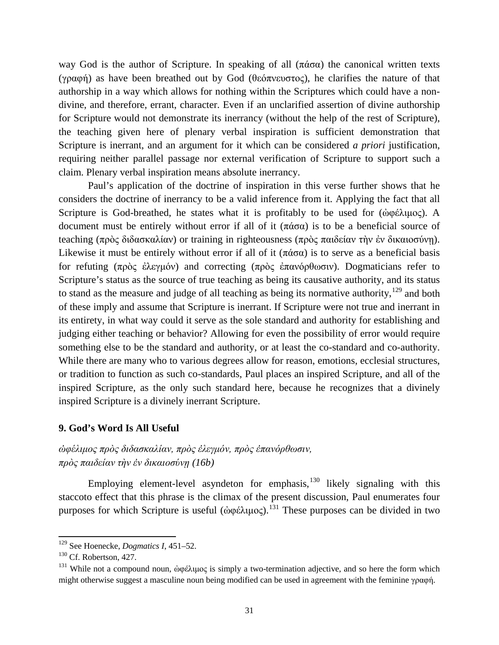way God is the author of Scripture. In speaking of all (πάσα) the canonical written texts (γραφή) as have been breathed out by God (θεόπνευστος), he clarifies the nature of that authorship in a way which allows for nothing within the Scriptures which could have a nondivine, and therefore, errant, character. Even if an unclarified assertion of divine authorship for Scripture would not demonstrate its inerrancy (without the help of the rest of Scripture), the teaching given here of plenary verbal inspiration is sufficient demonstration that Scripture is inerrant, and an argument for it which can be considered *a priori* justification, requiring neither parallel passage nor external verification of Scripture to support such a claim. Plenary verbal inspiration means absolute inerrancy.

Paul's application of the doctrine of inspiration in this verse further shows that he considers the doctrine of inerrancy to be a valid inference from it. Applying the fact that all Scripture is God-breathed, he states what it is profitably to be used for  $(\dot{\omega}\varphi \dot{\epsilon})$ λιμος). A document must be entirely without error if all of it (πάσα) is to be a beneficial source of teaching (πρὸς διδασκαλίαν) or training in righteousness (πρὸς παιδείαν τὴν ἐν δικαιοσύνῃ). Likewise it must be entirely without error if all of it ( $\pi \dot{\alpha} \sigma \alpha$ ) is to serve as a beneficial basis for refuting (πρὸς ἐλεγμόν) and correcting (πρὸς ἐπανόρθωσιν). Dogmaticians refer to Scripture's status as the source of true teaching as being its causative authority, and its status to stand as the measure and judge of all teaching as being its normative authority,<sup>[129](#page-30-0)</sup> and both of these imply and assume that Scripture is inerrant. If Scripture were not true and inerrant in its entirety, in what way could it serve as the sole standard and authority for establishing and judging either teaching or behavior? Allowing for even the possibility of error would require something else to be the standard and authority, or at least the co-standard and co-authority. While there are many who to various degrees allow for reason, emotions, ecclesial structures, or tradition to function as such co-standards, Paul places an inspired Scripture, and all of the inspired Scripture, as the only such standard here, because he recognizes that a divinely inspired Scripture is a divinely inerrant Scripture.

#### **9. God's Word Is All Useful**

## *ὠφέλιμος πρὸς διδασκαλίαν, πρὸς ἐλεγμόν, πρὸς ἐπανόρθωσιν, πρὸς παιδείαν τὴν ἐν δικαιοσύνῃ (16b)*

Employing element-level asyndeton for emphasis, $130$  likely signaling with this staccoto effect that this phrase is the climax of the present discussion, Paul enumerates four purposes for which Scripture is useful (ἀφέλιμος).<sup>[131](#page-30-2)</sup> These purposes can be divided in two

<span id="page-30-0"></span><sup>129</sup> See Hoenecke, *Dogmatics I*, 451–52.

<span id="page-30-1"></span><sup>&</sup>lt;sup>130</sup> Cf. Robertson, 427.

<span id="page-30-2"></span><sup>&</sup>lt;sup>131</sup> While not a compound noun, ἀφέλιμος is simply a two-termination adjective, and so here the form which might otherwise suggest a masculine noun being modified can be used in agreement with the feminine γραφή.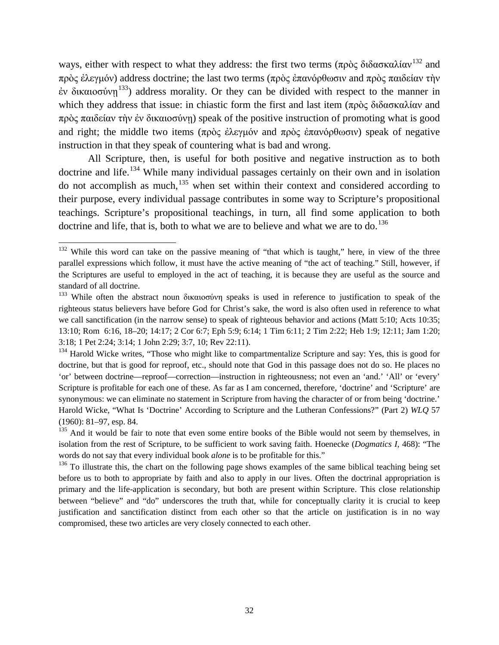ways, either with respect to what they address: the first two terms (πρὸς διδασκαλίαν<sup>[132](#page-31-0)</sup> and πρὸς ἐλεγμόν) address doctrine; the last two terms (πρὸς ἐπανόρθωσιν and πρὸς παιδείαν τὴν  $\dot{\epsilon}$ ν δικαιοσύνη<sup>[133](#page-31-1)</sup>) address morality. Or they can be divided with respect to the manner in which they address that issue: in chiastic form the first and last item (πρὸς διδασκαλίαν and πρὸς παιδείαν τὴν ἐν δικαιοσύνη) speak of the positive instruction of promoting what is good and right; the middle two items (πρὸς ἐλεγμόν and πρὸς ἐπανόρθωσιν) speak of negative instruction in that they speak of countering what is bad and wrong.

All Scripture, then, is useful for both positive and negative instruction as to both doctrine and life.<sup>[134](#page-31-2)</sup> While many individual passages certainly on their own and in isolation do not accomplish as much, $135$  when set within their context and considered according to their purpose, every individual passage contributes in some way to Scripture's propositional teachings. Scripture's propositional teachings, in turn, all find some application to both doctrine and life, that is, both to what we are to believe and what we are to do.<sup>[136](#page-31-4)</sup>

<span id="page-31-0"></span> $132$  While this word can take on the passive meaning of "that which is taught," here, in view of the three parallel expressions which follow, it must have the active meaning of "the act of teaching." Still, however, if the Scriptures are useful to employed in the act of teaching, it is because they are useful as the source and standard of all doctrine.

<span id="page-31-1"></span><sup>&</sup>lt;sup>133</sup> While often the abstract noun δικαιοσύνη speaks is used in reference to justification to speak of the righteous status believers have before God for Christ's sake, the word is also often used in reference to what we call sanctification (in the narrow sense) to speak of righteous behavior and actions (Matt 5:10; Acts 10:35; 13:10; Rom 6:16, 18–20; 14:17; 2 Cor 6:7; Eph 5:9; 6:14; 1 Tim 6:11; 2 Tim 2:22; Heb 1:9; 12:11; Jam 1:20; 3:18; 1 Pet 2:24; 3:14; 1 John 2:29; 3:7, 10; Rev 22:11).

<span id="page-31-2"></span><sup>&</sup>lt;sup>134</sup> Harold Wicke writes, "Those who might like to compartmentalize Scripture and say: Yes, this is good for doctrine, but that is good for reproof, etc., should note that God in this passage does not do so. He places no 'or' between doctrine—reproof—correction—instruction in righteousness; not even an 'and.' 'All' or 'every' Scripture is profitable for each one of these. As far as I am concerned, therefore, 'doctrine' and 'Scripture' are synonymous: we can eliminate no statement in Scripture from having the character of or from being 'doctrine.' Harold Wicke, "What Is 'Doctrine' According to Scripture and the Lutheran Confessions?" (Part 2) *WLQ* 57 (1960): 81–97, esp. 84.

<span id="page-31-3"></span><sup>&</sup>lt;sup>135</sup> And it would be fair to note that even some entire books of the Bible would not seem by themselves, in isolation from the rest of Scripture, to be sufficient to work saving faith. Hoenecke (*Dogmatics I*, 468): "The words do not say that every individual book *alone* is to be profitable for this."

<span id="page-31-4"></span> $136$  To illustrate this, the chart on the following page shows examples of the same biblical teaching being set before us to both to appropriate by faith and also to apply in our lives. Often the doctrinal appropriation is primary and the life-application is secondary, but both are present within Scripture. This close relationship between "believe" and "do" underscores the truth that, while for conceptually clarity it is crucial to keep justification and sanctification distinct from each other so that the article on justification is in no way compromised, these two articles are very closely connected to each other.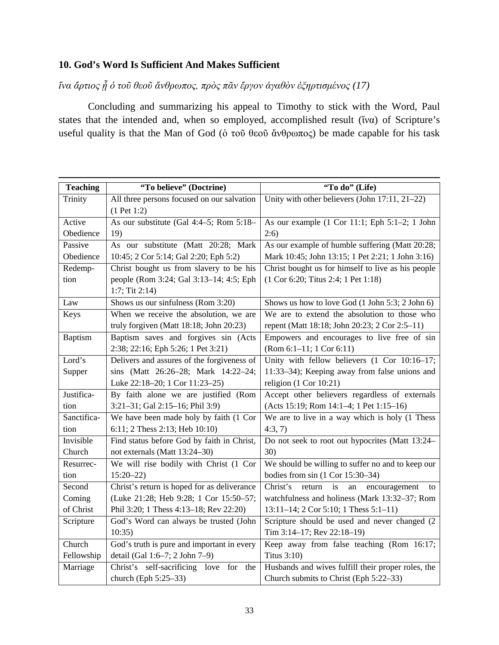## **10. God's Word Is Sufficient And Makes Sufficient**

*ἵνα ἄρτιος ᾖ ὁ τοῦ θεοῦ ἄνθρωπος, πρὸς πᾶν ἔργον ἀγαθὸν ἐξηρτισμένος (17)*

Concluding and summarizing his appeal to Timothy to stick with the Word, Paul states that the intended and, when so employed, accomplished result ( $\tilde{v}$ να) of Scripture's useful quality is that the Man of God (ό τοῦ θεοῦ ἄνθρωπος) be made capable for his task

| <b>Teaching</b> | "To believe" (Doctrine)                     | "To do" (Life)                                        |
|-----------------|---------------------------------------------|-------------------------------------------------------|
| Trinity         | All three persons focused on our salvation  | Unity with other believers (John 17:11, 21-22)        |
|                 | $(1$ Pet 1:2)                               |                                                       |
| Active          | As our substitute (Gal 4:4–5; Rom 5:18–     | As our example (1 Cor 11:1; Eph 5:1-2; 1 John         |
| Obedience       | 19)                                         | 2:6)                                                  |
| Passive         | As our substitute (Matt 20:28; Mark         | As our example of humble suffering (Matt 20:28;       |
| Obedience       | 10:45; 2 Cor 5:14; Gal 2:20; Eph 5:2)       | Mark 10:45; John 13:15; 1 Pet 2:21; 1 John 3:16)      |
| Redemp-         | Christ bought us from slavery to be his     | Christ bought us for himself to live as his people    |
| tion            | people (Rom 3:24; Gal 3:13-14; 4:5; Eph     | (1 Cor 6:20; Titus 2:4; 1 Pet 1:18)                   |
|                 | $1:7;$ Tit $2:14)$                          |                                                       |
| Law             | Shows us our sinfulness (Rom 3:20)          | Shows us how to love God (1 John 5:3; 2 John 6)       |
| Keys            | When we receive the absolution, we are      | We are to extend the absolution to those who          |
|                 | truly forgiven (Matt 18:18; John 20:23)     | repent (Matt 18:18; John 20:23; 2 Cor 2:5-11)         |
| Baptism         | Baptism saves and forgives sin (Acts        | Empowers and encourages to live free of sin           |
|                 | 2:38; 22:16; Eph 5:26; 1 Pet 3:21)          | $(Rom 6:1-11; 1 Cor 6:11)$                            |
| Lord's          | Delivers and assures of the forgiveness of  | Unity with fellow believers (1 Cor 10:16-17;          |
| Supper          | sins (Matt 26:26-28; Mark 14:22-24;         | 11:33-34); Keeping away from false unions and         |
|                 | Luke 22:18-20; 1 Cor 11:23-25)              | religion $(1$ Cor $10:21)$                            |
| Justifica-      | By faith alone we are justified (Rom        | Accept other believers regardless of externals        |
| tion            | 3:21-31; Gal 2:15-16; Phil 3:9)             | (Acts 15:19; Rom 14:1-4; 1 Pet 1:15-16)               |
| Sanctifica-     | We have been made holy by faith (1 Cor      | We are to live in a way which is holy (1 Thess        |
| tion            | 6:11; 2 Thess 2:13; Heb 10:10)              | 4:3,7                                                 |
| Invisible       | Find status before God by faith in Christ,  | Do not seek to root out hypocrites (Matt 13:24–       |
| Church          | not externals (Matt 13:24-30)               | 30)                                                   |
| Resurrec-       | We will rise bodily with Christ (1 Cor      | We should be willing to suffer no and to keep our     |
| tion            | $15:20 - 22$                                | bodies from $sin(1$ Cor $15:30-34)$                   |
| Second          | Christ's return is hoped for as deliverance | Christ's<br>return<br>is<br>an<br>encouragement<br>to |
| Coming          | (Luke 21:28; Heb 9:28; 1 Cor 15:50-57;      | watchfulness and holiness (Mark 13:32-37; Rom         |
| of Christ       | Phil 3:20; 1 Thess 4:13-18; Rev 22:20)      | $13:11-14$ ; 2 Cor 5:10; 1 Thess 5:1-11)              |
| Scripture       | God's Word can always be trusted (John      | Scripture should be used and never changed (2         |
|                 | 10:35)                                      | Tim 3:14-17; Rev 22:18-19)                            |
| Church          | God's truth is pure and important in every  | Keep away from false teaching (Rom 16:17;             |
| Fellowship      | detail (Gal 1:6-7; 2 John 7-9)              | Titus 3:10)                                           |
| Marriage        | Christ's self-sacrificing love for the      | Husbands and wives fulfill their proper roles, the    |
|                 | church (Eph 5:25-33)                        | Church submits to Christ (Eph 5:22-33)                |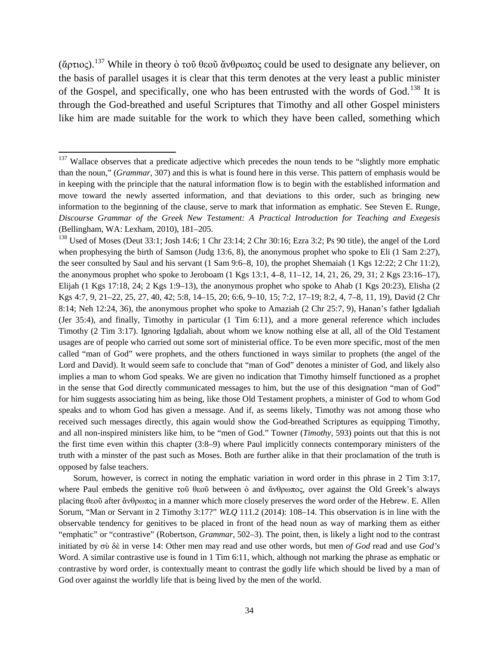(ἄρτιος).<sup>[137](#page-33-0)</sup> While in theory ὁ τοῦ θεοῦ ἄνθρωπος could be used to designate any believer, on the basis of parallel usages it is clear that this term denotes at the very least a public minister of the Gospel, and specifically, one who has been entrusted with the words of God.<sup>[138](#page-33-1)</sup> It is through the God-breathed and useful Scriptures that Timothy and all other Gospel ministers like him are made suitable for the work to which they have been called, something which

Sorum, however, is correct in noting the emphatic variation in word order in this phrase in 2 Tim 3:17, where Paul embeds the genitive τοῦ θεοῦ between ὁ and ἄνθρωπος, over against the Old Greek's always placing θεοῦ after ἄνθρωπος in a manner which more closely preserves the word order of the Hebrew. E. Allen Sorum, "Man or Servant in 2 Timothy 3:17?" *WLQ* 111.2 (2014): 108–14. This observation is in line with the observable tendency for genitives to be placed in front of the head noun as way of marking them as either "emphatic" or "contrastive" (Robertson, *Grammar*, 502–3). The point, then, is likely a light nod to the contrast initiated by σὺ δὲ in verse 14: Other men may read and use other words, but men *of God* read and use *God's*  Word. A similar contrastive use is found in 1 Tim 6:11, which, although not marking the phrase as emphatic or contrastive by word order, is contextually meant to contrast the godly life which should be lived by a man of God over against the worldly life that is being lived by the men of the world.

<span id="page-33-0"></span><sup>&</sup>lt;sup>137</sup> Wallace observes that a predicate adjective which precedes the noun tends to be "slightly more emphatic than the noun," (*Grammar*, 307) and this is what is found here in this verse. This pattern of emphasis would be in keeping with the principle that the natural information flow is to begin with the established information and move toward the newly asserted information, and that deviations to this order, such as bringing new information to the beginning of the clause, serve to mark that information as emphatic. See Steven E. Runge, *Discourse Grammar of the Greek New Testament: A Practical Introduction for Teaching and Exegesis*  (Bellingham, WA: Lexham, 2010), 181–205.

<span id="page-33-1"></span><sup>&</sup>lt;sup>138</sup> Used of Moses (Deut 33:1; Josh 14:6; 1 Chr 23:14; 2 Chr 30:16; Ezra 3:2; Ps 90 title), the angel of the Lord when prophesying the birth of Samson (Judg 13:6, 8), the anonymous prophet who spoke to Eli (1 Sam 2:27), the seer consulted by Saul and his servant (1 Sam 9:6–8, 10), the prophet Shemaiah (1 Kgs 12:22; 2 Chr 11:2), the anonymous prophet who spoke to Jeroboam (1 Kgs 13:1, 4–8, 11–12, 14, 21, 26, 29, 31; 2 Kgs 23:16–17), Elijah (1 Kgs 17:18, 24; 2 Kgs 1:9–13), the anonymous prophet who spoke to Ahab (1 Kgs 20:23), Elisha (2 Kgs 4:7, 9, 21–22, 25, 27, 40, 42; 5:8, 14–15, 20; 6:6, 9–10, 15; 7:2, 17–19; 8:2, 4, 7–8, 11, 19), David (2 Chr 8:14; Neh 12:24, 36), the anonymous prophet who spoke to Amaziah (2 Chr 25:7, 9), Hanan's father Igdaliah (Jer 35:4), and finally, Timothy in particular (1 Tim 6:11), and a more general reference which includes Timothy (2 Tim 3:17). Ignoring Igdaliah, about whom we know nothing else at all, all of the Old Testament usages are of people who carried out some sort of ministerial office. To be even more specific, most of the men called "man of God" were prophets, and the others functioned in ways similar to prophets (the angel of the Lord and David). It would seem safe to conclude that "man of God" denotes a minister of God, and likely also implies a man to whom God speaks. We are given no indication that Timothy himself functioned as a prophet in the sense that God directly communicated messages to him, but the use of this designation "man of God" for him suggests associating him as being, like those Old Testament prophets, a minister of God to whom God speaks and to whom God has given a message. And if, as seems likely, Timothy was not among those who received such messages directly, this again would show the God-breathed Scriptures as equipping Timothy, and all non-inspired ministers like him, to be "men of God." Towner (*Timothy*, 593) points out that this is not the first time even within this chapter (3:8–9) where Paul implicitly connects contemporary ministers of the truth with a minster of the past such as Moses. Both are further alike in that their proclamation of the truth is opposed by false teachers.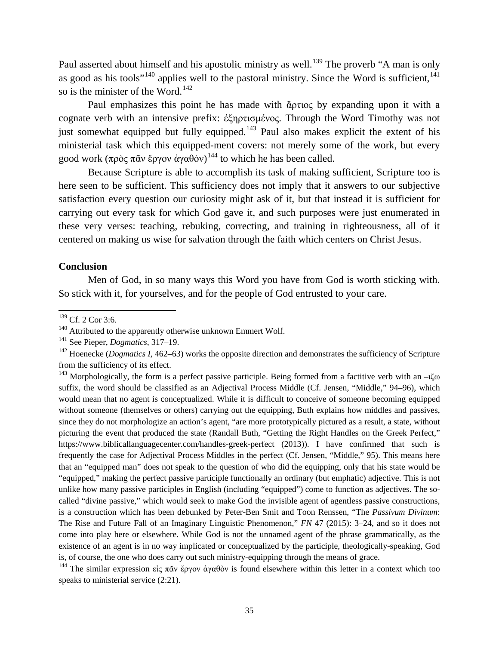Paul asserted about himself and his apostolic ministry as well.<sup>[139](#page-34-0)</sup> The proverb "A man is only as good as his tools"<sup>[140](#page-34-1)</sup> applies well to the pastoral ministry. Since the Word is sufficient,  $141$ so is the minister of the Word.<sup>[142](#page-34-3)</sup>

Paul emphasizes this point he has made with ἄρτιος by expanding upon it with a cognate verb with an intensive prefix: ἐξηρτισμένος. Through the Word Timothy was not just somewhat equipped but fully equipped.<sup>[143](#page-34-4)</sup> Paul also makes explicit the extent of his ministerial task which this equipped-ment covers: not merely some of the work, but every good work (πρὸς πᾶν ἔργον ἀγαθὸν)<sup>[144](#page-34-5)</sup> to which he has been called.

Because Scripture is able to accomplish its task of making sufficient, Scripture too is here seen to be sufficient. This sufficiency does not imply that it answers to our subjective satisfaction every question our curiosity might ask of it, but that instead it is sufficient for carrying out every task for which God gave it, and such purposes were just enumerated in these very verses: teaching, rebuking, correcting, and training in righteousness, all of it centered on making us wise for salvation through the faith which centers on Christ Jesus.

#### **Conclusion**

Men of God, in so many ways this Word you have from God is worth sticking with. So stick with it, for yourselves, and for the people of God entrusted to your care.

<span id="page-34-4"></span><sup>143</sup> Morphologically, the form is a perfect passive participle. Being formed from a factitive verb with an  $-i\zeta$ ω suffix, the word should be classified as an Adjectival Process Middle (Cf. Jensen, "Middle," 94–96), which would mean that no agent is conceptualized. While it is difficult to conceive of someone becoming equipped without someone (themselves or others) carrying out the equipping, Buth explains how middles and passives, since they do not morphologize an action's agent, "are more prototypically pictured as a result, a state, without picturing the event that produced the state (Randall Buth, "Getting the Right Handles on the Greek Perfect," https://www.biblicallanguagecenter.com/handles-greek-perfect (2013)). I have confirmed that such is frequently the case for Adjectival Process Middles in the perfect (Cf. Jensen, "Middle," 95). This means here that an "equipped man" does not speak to the question of who did the equipping, only that his state would be "equipped," making the perfect passive participle functionally an ordinary (but emphatic) adjective. This is not unlike how many passive participles in English (including "equipped") come to function as adjectives. The socalled "divine passive," which would seek to make God the invisible agent of agentless passive constructions, is a construction which has been debunked by Peter-Ben Smit and Toon Renssen, "The *Passivum Divinum*: The Rise and Future Fall of an Imaginary Linguistic Phenomenon," *FN* 47 (2015): 3–24, and so it does not come into play here or elsewhere. While God is not the unnamed agent of the phrase grammatically, as the existence of an agent is in no way implicated or conceptualized by the participle, theologically-speaking, God is, of course, the one who does carry out such ministry-equipping through the means of grace.

<span id="page-34-5"></span><sup>144</sup> The similar expression εἰς πᾶν ἔργον ἀγαθὸν is found elsewhere within this letter in a context which too speaks to ministerial service  $(2:21)$ .

<span id="page-34-0"></span><sup>&</sup>lt;sup>139</sup> Cf. 2 Cor 3:6.

<span id="page-34-1"></span> $140$  Attributed to the apparently otherwise unknown Emmert Wolf.

<span id="page-34-2"></span><sup>141</sup> See Pieper, *Dogmatics*, 317–19.

<span id="page-34-3"></span><sup>&</sup>lt;sup>142</sup> Hoenecke (*Dogmatics I*, 462–63) works the opposite direction and demonstrates the sufficiency of Scripture from the sufficiency of its effect.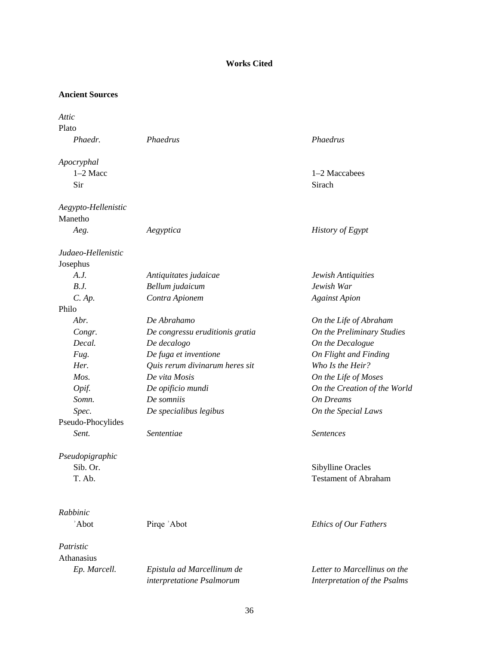## **Works Cited**

#### **Ancient Sources**

| Attic                          |                                                         |                                                              |
|--------------------------------|---------------------------------------------------------|--------------------------------------------------------------|
| Plato                          |                                                         |                                                              |
| Phaedr.                        | Phaedrus                                                | Phaedrus                                                     |
| Apocryphal                     |                                                         |                                                              |
| $1-2$ Macc                     |                                                         | 1-2 Maccabees                                                |
| Sir                            |                                                         | Sirach                                                       |
| Aegypto-Hellenistic            |                                                         |                                                              |
| Manetho                        |                                                         |                                                              |
| Aeg.                           | Aegyptica                                               | History of Egypt                                             |
| Judaeo-Hellenistic<br>Josephus |                                                         |                                                              |
| A.J.                           | Antiquitates judaicae                                   | Jewish Antiquities                                           |
| B.J.                           | Bellum judaicum                                         | Jewish War                                                   |
| $C.$ Ap.                       | Contra Apionem                                          | <b>Against Apion</b>                                         |
| Philo                          |                                                         |                                                              |
| Abr.                           | De Abrahamo                                             | On the Life of Abraham                                       |
| Congr.                         | De congressu eruditionis gratia                         | On the Preliminary Studies                                   |
| Decal.                         | De decalogo                                             | On the Decalogue                                             |
| Fug.                           | De fuga et inventione                                   | On Flight and Finding                                        |
| Her.                           | Quis rerum divinarum heres sit                          | Who Is the Heir?                                             |
| Mos.                           | De vita Mosis                                           | On the Life of Moses                                         |
| Opif.                          | De opificio mundi                                       | On the Creation of the World                                 |
| Somn.                          | De somniis                                              | <b>On Dreams</b>                                             |
| Spec.                          | De specialibus legibus                                  | On the Special Laws                                          |
| Pseudo-Phocylides              |                                                         |                                                              |
| Sent.                          | Sententiae                                              | <b>Sentences</b>                                             |
| Pseudopigraphic                |                                                         |                                                              |
| Sib. Or.                       |                                                         | <b>Sibylline Oracles</b>                                     |
| T. Ab.                         |                                                         | <b>Testament of Abraham</b>                                  |
| Rabbinic                       |                                                         |                                                              |
| 'Abot                          | Pirqe 'Abot                                             | Ethics of Our Fathers                                        |
|                                |                                                         |                                                              |
| Patristic                      |                                                         |                                                              |
| Athanasius                     |                                                         |                                                              |
| Ep. Marcell.                   | Epistula ad Marcellinum de<br>interpretatione Psalmorum | Letter to Marcellinus on the<br>Interpretation of the Psalms |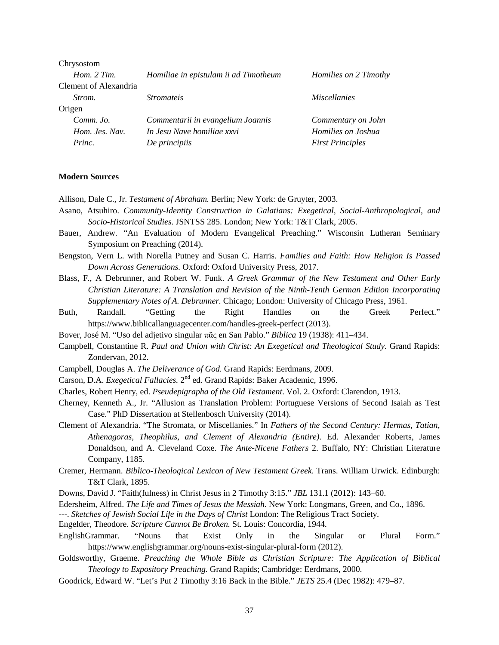| Chrysostom            |                                       |                         |
|-----------------------|---------------------------------------|-------------------------|
| Hom. $2 Tim$ .        | Homiliae in epistulam ii ad Timotheum | Homilies on 2 Timothy   |
| Clement of Alexandria |                                       |                         |
| Strom.                | <i>Stromateis</i>                     | <i>Miscellanies</i>     |
| Origen                |                                       |                         |
| Comm. Jo.             | Commentarii in evangelium Joannis     | Commentary on John      |
| Hom. Jes. Nav.        | In Jesu Nave homiliae xxvi            | Homilies on Joshua      |
| Princ.                | De principiis                         | <b>First Principles</b> |
|                       |                                       |                         |

#### **Modern Sources**

Allison, Dale C., Jr. *Testament of Abraham.* Berlin; New York: de Gruyter, 2003.

- Asano, Atsuhiro. *Community-Identity Construction in Galatians: Exegetical, Social-Anthropological, and Socio-Historical Studies*. JSNTSS 285. London; New York: T&T Clark, 2005.
- Bauer, Andrew. "An Evaluation of Modern Evangelical Preaching." Wisconsin Lutheran Seminary Symposium on Preaching (2014).
- Bengston, Vern L. with Norella Putney and Susan C. Harris. *Families and Faith: How Religion Is Passed Down Across Generations.* Oxford: Oxford University Press, 2017.
- Blass, F., A Debrunner, and Robert W. Funk. *A Greek Grammar of the New Testament and Other Early Christian Literature: A Translation and Revision of the Ninth-Tenth German Edition Incorporating Supplementary Notes of A. Debrunner.* Chicago; London: University of Chicago Press, 1961.
- Buth, Randall. "Getting the Right Handles on the Greek Perfect." https://www.biblicallanguagecenter.com/handles-greek-perfect (2013).
- Bover, José M. "Uso del adjetivo singular πᾶς en San Pablo." *Biblica* 19 (1938): 411–434.
- Campbell, Constantine R. *Paul and Union with Christ: An Exegetical and Theological Study.* Grand Rapids: Zondervan, 2012.
- Campbell, Douglas A. *The Deliverance of God.* Grand Rapids: Eerdmans, 2009.
- Carson, D.A. *Exegetical Fallacies.* 2nd ed. Grand Rapids: Baker Academic, 1996.
- Charles, Robert Henry, ed. *Pseudepigrapha of the Old Testament*. Vol. 2. Oxford: Clarendon, 1913.
- Cherney, Kenneth A., Jr. "Allusion as Translation Problem: Portuguese Versions of Second Isaiah as Test Case." PhD Dissertation at Stellenbosch University (2014).
- Clement of Alexandria. "The Stromata, or Miscellanies." In *Fathers of the Second Century: Hermas, Tatian, Athenagoras, Theophilus, and Clement of Alexandria (Entire)*. Ed. Alexander Roberts, James Donaldson, and A. Cleveland Coxe. *The Ante-Nicene Fathers* 2. Buffalo, NY: Christian Literature Company, 1185.
- Cremer, Hermann. *Biblico-Theological Lexicon of New Testament Greek*. Trans. William Urwick. Edinburgh: T&T Clark, 1895.
- Downs, David J. "Faith(fulness) in Christ Jesus in 2 Timothy 3:15." *JBL* 131.1 (2012): 143–60.
- Edersheim, Alfred. *The Life and Times of Jesus the Messiah.* New York: Longmans, Green, and Co., 1896.
- ---. *Sketches of Jewish Social Life in the Days of Christ* London: The Religious Tract Society.
- Engelder, Theodore. *Scripture Cannot Be Broken.* St. Louis: Concordia, 1944.
- EnglishGrammar. "Nouns that Exist Only in the Singular or Plural Form." https://www.englishgrammar.org/nouns-exist-singular-plural-form (2012).
- Goldsworthy, Graeme. *Preaching the Whole Bible as Christian Scripture: The Application of Biblical Theology to Expository Preaching.* Grand Rapids; Cambridge: Eerdmans, 2000.
- Goodrick, Edward W. "Let's Put 2 Timothy 3:16 Back in the Bible." *JETS* 25.4 (Dec 1982): 479–87.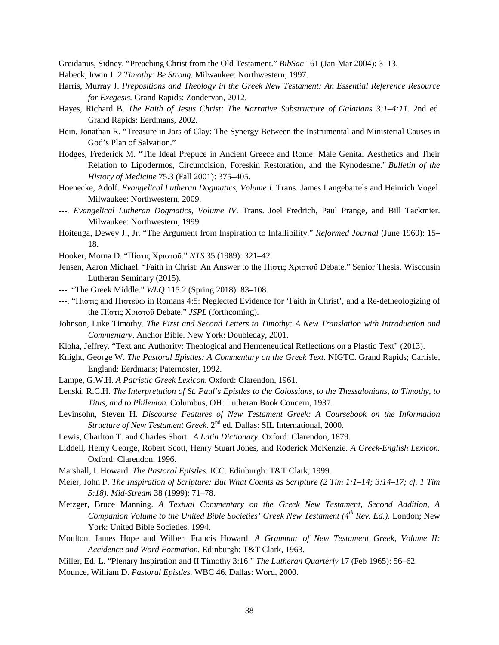Greidanus, Sidney. "Preaching Christ from the Old Testament." *BibSac* 161 (Jan-Mar 2004): 3–13.

- Habeck, Irwin J. *2 Timothy: Be Strong.* Milwaukee: Northwestern, 1997.
- Harris, Murray J. *Prepositions and Theology in the Greek New Testament: An Essential Reference Resource for Exegesis.* Grand Rapids: Zondervan, 2012.
- Hayes, Richard B. *The Faith of Jesus Christ: The Narrative Substructure of Galatians 3:1–4:11*. 2nd ed. Grand Rapids: Eerdmans, 2002.
- Hein, Jonathan R. "Treasure in Jars of Clay: The Synergy Between the Instrumental and Ministerial Causes in God's Plan of Salvation."
- Hodges, Frederick M. "The Ideal Prepuce in Ancient Greece and Rome: Male Genital Aesthetics and Their Relation to Lipodermos, Circumcision, Foreskin Restoration, and the Kynodesme." *Bulletin of the History of Medicine* 75.3 (Fall 2001): 375–405.
- Hoenecke, Adolf. *Evangelical Lutheran Dogmatics, Volume I*. Trans. James Langebartels and Heinrich Vogel. Milwaukee: Northwestern, 2009.
- ---. *Evangelical Lutheran Dogmatics, Volume IV*. Trans. Joel Fredrich, Paul Prange, and Bill Tackmier. Milwaukee: Northwestern, 1999.
- Hoitenga, Dewey J., Jr. "The Argument from Inspiration to Infallibility." *Reformed Journal* (June 1960): 15– 18.
- Hooker, Morna D. "Πίστις Χριστοῦ." *NTS* 35 (1989): 321–42.
- Jensen, Aaron Michael. "Faith in Christ: An Answer to the Πίστις Χριστοῦ Debate." Senior Thesis. Wisconsin Lutheran Seminary (2015).
- ---. "The Greek Middle." *WLQ* 115.2 (Spring 2018): 83–108.
- ---. "Πίστις and Πιστεύω in Romans 4:5: Neglected Evidence for 'Faith in Christ', and a Re-detheologizing of the Πίστις Χριστοῦ Debate." *JSPL* (forthcoming).
- Johnson, Luke Timothy. *The First and Second Letters to Timothy: A New Translation with Introduction and Commentary*. Anchor Bible. New York: Doubleday, 2001.
- Kloha, Jeffrey. "Text and Authority: Theological and Hermeneutical Reflections on a Plastic Text" (2013).
- Knight, George W. *The Pastoral Epistles: A Commentary on the Greek Text*. NIGTC. Grand Rapids; Carlisle, England: Eerdmans; Paternoster, 1992.
- Lampe, G.W.H. *A Patristic Greek Lexicon.* Oxford: Clarendon, 1961.
- Lenski, R.C.H. *The Interpretation of St. Paul's Epistles to the Colossians, to the Thessalonians, to Timothy, to Titus, and to Philemon.* Columbus, OH: Lutheran Book Concern, 1937.
- Levinsohn, Steven H. *Discourse Features of New Testament Greek: A Coursebook on the Information Structure of New Testament Greek.* 2<sup>nd</sup> ed. Dallas: SIL International, 2000.

Lewis, Charlton T. and Charles Short. *A Latin Dictionary.* Oxford: Clarendon, 1879.

- Liddell, Henry George, Robert Scott, Henry Stuart Jones, and Roderick McKenzie. *A Greek-English Lexicon.* Oxford: Clarendon, 1996.
- Marshall, I. Howard. *The Pastoral Epistles.* ICC. Edinburgh: T&T Clark, 1999.
- Meier, John P. *The Inspiration of Scripture: But What Counts as Scripture (2 Tim 1:1–14; 3:14–17; cf. 1 Tim 5:18). Mid-Stream* 38 (1999): 71–78.
- Metzger, Bruce Manning. *A Textual Commentary on the Greek New Testament, Second Addition, A Companion Volume to the United Bible Societies' Greek New Testament (4th Rev. Ed.).* London; New York: United Bible Societies, 1994.
- Moulton, James Hope and Wilbert Francis Howard. *A Grammar of New Testament Greek, Volume II: Accidence and Word Formation.* Edinburgh: T&T Clark, 1963.
- Miller, Ed. L. "Plenary Inspiration and II Timothy 3:16." *The Lutheran Quarterly* 17 (Feb 1965): 56–62. Mounce, William D. *Pastoral Epistles.* WBC 46. Dallas: Word, 2000.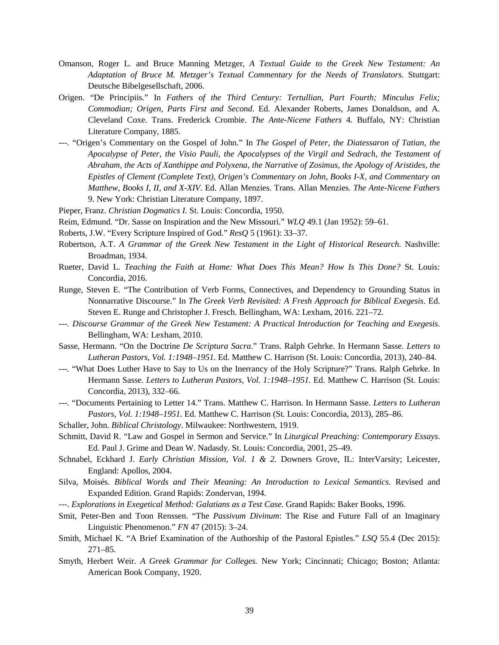- Omanson, Roger L. and Bruce Manning Metzger, *A Textual Guide to the Greek New Testament: An Adaptation of Bruce M. Metzger's Textual Commentary for the Needs of Translators.* Stuttgart: Deutsche Bibelgesellschaft, 2006.
- Origen. "De Principiis." In *Fathers of the Third Century: Tertullian, Part Fourth; Minculus Felix; Commodian; Origen, Parts First and Second*. Ed. Alexander Roberts, James Donaldson, and A. Cleveland Coxe. Trans. Frederick Crombie. *The Ante-Nicene Fathers* 4. Buffalo, NY: Christian Literature Company, 1885.
- ---. "Origen's Commentary on the Gospel of John." In *The Gospel of Peter, the Diatessaron of Tatian, the Apocalypse of Peter, the Visio Pauli, the Apocalypses of the Virgil and Sedrach, the Testament of Abraham, the Acts of Xanthippe and Polyxena, the Narrative of Zosimus, the Apology of Aristides, the Epistles of Clement (Complete Text), Origen's Commentary on John, Books I-X, and Commentary on Matthew, Books I, II, and X-XIV*. Ed. Allan Menzies. Trans. Allan Menzies. *The Ante-Nicene Fathers* 9. New York: Christian Literature Company, 1897.

Pieper, Franz. *Christian Dogmatics I.* St. Louis: Concordia, 1950.

- Reim, Edmund. "Dr. Sasse on Inspiration and the New Missouri." *WLQ* 49.1 (Jan 1952): 59–61.
- Roberts, J.W. "Every Scripture Inspired of God." *ResQ* 5 (1961): 33–37.
- Robertson, A.T. *A Grammar of the Greek New Testament in the Light of Historical Research.* Nashville: Broadman, 1934.
- Rueter, David L. *Teaching the Faith at Home: What Does This Mean? How Is This Done?* St. Louis: Concordia, 2016.
- Runge, Steven E. "The Contribution of Verb Forms, Connectives, and Dependency to Grounding Status in Nonnarrative Discourse." In *The Greek Verb Revisited: A Fresh Approach for Biblical Exegesis*. Ed. Steven E. Runge and Christopher J. Fresch. Bellingham, WA: Lexham, 2016. 221–72.
- ---. *Discourse Grammar of the Greek New Testament: A Practical Introduction for Teaching and Exegesis.* Bellingham, WA: Lexham, 2010.
- Sasse, Hermann. "On the Doctrine *De Scriptura Sacra*." Trans. Ralph Gehrke. In Hermann Sasse. *Letters to Lutheran Pastors, Vol. 1:1948–1951.* Ed. Matthew C. Harrison (St. Louis: Concordia, 2013), 240–84.
- ---. "What Does Luther Have to Say to Us on the Inerrancy of the Holy Scripture?" Trans. Ralph Gehrke. In Hermann Sasse. *Letters to Lutheran Pastors, Vol. 1:1948–1951.* Ed. Matthew C. Harrison (St. Louis: Concordia, 2013), 332–66.
- ---. "Documents Pertaining to Letter 14." Trans. Matthew C. Harrison. In Hermann Sasse. *Letters to Lutheran Pastors, Vol. 1:1948–1951.* Ed. Matthew C. Harrison (St. Louis: Concordia, 2013), 285–86.
- Schaller, John. *Biblical Christology*. Milwaukee: Northwestern, 1919.
- Schmitt, David R. "Law and Gospel in Sermon and Service." In *Liturgical Preaching: Contemporary Essays*. Ed. Paul J. Grime and Dean W. Nadasdy. St. Louis: Concordia, 2001, 25–49.
- Schnabel, Eckhard J. *Early Christian Mission, Vol. 1 & 2.* Downers Grove, IL: InterVarsity; Leicester, England: Apollos, 2004.
- Silva, Moisés. *Biblical Words and Their Meaning: An Introduction to Lexical Semantics*. Revised and Expanded Edition. Grand Rapids: Zondervan, 1994.
- ---. *Explorations in Exegetical Method: Galatians as a Test Case.* Grand Rapids: Baker Books, 1996.
- Smit, Peter-Ben and Toon Renssen. "The *Passivum Divinum*: The Rise and Future Fall of an Imaginary Linguistic Phenomenon." *FN* 47 (2015): 3–24.
- Smith, Michael K. "A Brief Examination of the Authorship of the Pastoral Epistles." *LSQ* 55.4 (Dec 2015): 271–85.
- Smyth, Herbert Weir. *A Greek Grammar for Colleges.* New York; Cincinnati; Chicago; Boston; Atlanta: American Book Company, 1920.